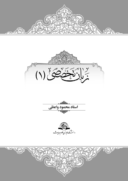







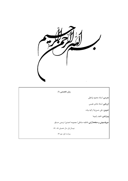

**زبان تخصصی (۱) مدرس:** אستاد محمود وאعظی **אرزیابی:** אستاد شادی نفیسی **تدوین:** علی حسننیا/ زکیه بیات <mark>ویرایش</mark>: ناهید راهپیما **حروفچینی و صفحهآرאیی:** فاطمه صادقی/ معصومه אحمدی/ نرجس حسنلو نیمسال אول سال تحصیلی ٨٨ ـ ٨٧ ویراست اول، مهر ٨٧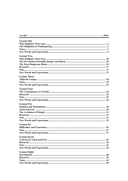| <b>Lesson Two</b><br><b>Lesson Four</b><br><b>Lesson Six</b><br>Note.<br><b>Lesson Eight</b> |                     |  |
|----------------------------------------------------------------------------------------------|---------------------|--|
|                                                                                              | <b>Lesson One</b>   |  |
|                                                                                              |                     |  |
|                                                                                              |                     |  |
|                                                                                              |                     |  |
|                                                                                              |                     |  |
|                                                                                              |                     |  |
|                                                                                              |                     |  |
|                                                                                              |                     |  |
|                                                                                              |                     |  |
|                                                                                              |                     |  |
|                                                                                              |                     |  |
|                                                                                              |                     |  |
|                                                                                              |                     |  |
|                                                                                              | <b>Lesson Three</b> |  |
|                                                                                              |                     |  |
|                                                                                              |                     |  |
|                                                                                              |                     |  |
|                                                                                              |                     |  |
|                                                                                              |                     |  |
|                                                                                              |                     |  |
|                                                                                              |                     |  |
|                                                                                              |                     |  |
|                                                                                              |                     |  |
|                                                                                              | <b>Lesson Five</b>  |  |
|                                                                                              |                     |  |
|                                                                                              |                     |  |
|                                                                                              |                     |  |
|                                                                                              |                     |  |
|                                                                                              |                     |  |
|                                                                                              |                     |  |
|                                                                                              |                     |  |
|                                                                                              |                     |  |
|                                                                                              |                     |  |
|                                                                                              |                     |  |
|                                                                                              |                     |  |
|                                                                                              | <b>Lesson Seven</b> |  |
|                                                                                              |                     |  |
|                                                                                              |                     |  |
|                                                                                              |                     |  |
|                                                                                              |                     |  |
|                                                                                              |                     |  |
|                                                                                              |                     |  |
|                                                                                              |                     |  |
|                                                                                              |                     |  |
|                                                                                              |                     |  |
|                                                                                              |                     |  |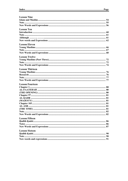| <b>Lesson Nine</b>     |  |
|------------------------|--|
|                        |  |
|                        |  |
|                        |  |
|                        |  |
| <b>Lesson Ten</b>      |  |
|                        |  |
|                        |  |
|                        |  |
|                        |  |
| <b>Lesson Eleven</b>   |  |
|                        |  |
|                        |  |
|                        |  |
|                        |  |
| <b>Lesson Twelve</b>   |  |
|                        |  |
|                        |  |
|                        |  |
| <b>Lesson Thirteen</b> |  |
|                        |  |
|                        |  |
|                        |  |
|                        |  |
|                        |  |
| <b>Lesson Fourteen</b> |  |
|                        |  |
|                        |  |
|                        |  |
|                        |  |
|                        |  |
|                        |  |
|                        |  |
|                        |  |
|                        |  |
|                        |  |
|                        |  |
| <b>Lesson Fifteen</b>  |  |
|                        |  |
|                        |  |
|                        |  |
|                        |  |
| <b>Lesson Sixteen</b>  |  |
|                        |  |
|                        |  |
|                        |  |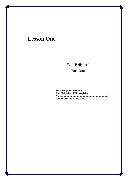# **Lesson One**

# **Why Religion? Part One**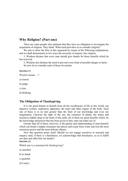# **Why Religion? (Part one)**

There are some people who maintain that they have no obligation to investigate the acquisition of religion. They think: What need provokes us to consider religion?

We aim to show the flaw in this argument by means of the following explanations, and we shall demonstrate in two ways the necessity of enquiry into religion.

1. Wisdom dictates that every man should give thanks for those benefits which he has received.

2. Wisdom also dictates the need to prevent every kind of possible danger or harm. So now let us consider each of these two points:

#### **Question (**1**)**

*Wisdom* means ?

a) reason

b) judge

c) aim

d) thinking

### **The Obligation of Thanksgiving**

It is our good fortune to benefit from all the excellencies of life in this world: our digestive system, respiratory apparatus, the heart and other organs of the body. Each one of these is in its turn greater than the limit of our knowledge and even our imagination. Likewise the light of the sun, the existence of plants, the mines and resources hidden deep in the heart of the earth, all of them are great benefits which, by the knowledge and power that has been given to him, man can make use of.

Greater than all of these, however, is the genius and understanding of man himself, which can break a mighty mountain into pieces and create from water and iron the most enormous power and the most delicate objects.

Now this question poses itself: Should we not engage ourselves in research and enquiry until, if there is a benefactor, we acknowledge that benefactor, so as to fulfill our duty and offer him our thanks?

### **Question (**2**)**

Which one is a synonym for *thanksgiving?*

a) satisfied

b) to thank

- c) grateful
- d) b and c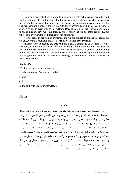Suppose a benevolent and charitable man adopts a baby who has lost his father and mother, and provides for him every kind of sustenance for life and growth. He arranges for the child to be brought up, and when he is ready for education provides him with the best teachers and books. Similarly he puts every possibility within his reach, and, in short, provides in every way for his welfare. Does this child not then have an obligation to try to find out first who this man is, and secondly, about his great generosity, his whole soul overflowing with thanks for his benefactor?

It is the same in the field of existence, and we are obliged to engage in enquiry till we discover the Benefactor and Creator Himself and render our thanks.

Making effort to acquire the true religion is also a command of wisdom. He who has not yet found the right way, and is wandering without direction must not rest his feet until he has found the way of Truth and the true religion, satisfied by enlightening proofs and clear evidence. And when he has reached the source of spiritual life and the true religion, his heart full of peace and rejoicing, he should begin to give his thanks to the Creator Himself.

#### **Question (**3**)**

What is the meaning of *obligation?*

a) relating to deep feelings and beliefs

b) duty

c) job

d) the ability to use your knowledge.

# **Notes**

## **مقدمه**

در این قسمت از درس قصد داریم در هر جلسه نکتهای از مهمترین مباحث گرامری را، که در فهم عبارات و جملهها مؤثر است و به دانشجویان در تعامل با متون به ویژه متون تخصصی زبان انگلیسی کمک می کند، مطرح کنیم و با استفاده از نمونههایی از متن همان جلسه به تشریح آن نکته بپردازیم. این نکات صرفاً یک ترتیب منطقی و گرامری نخواهند داشت، بلکه با توجه به مهمترین نکتهای که در متن هر جلسه دیده می شود به گونهای کاربردی بیان شدهاند و سعی شده است بدین وسیله هضم و درک جملهها و عبارات و نیز ترجمۀ روان آنها برای دانشجو آسان شود. از آن جا که برای فهم جملههای انگلیسی و متون تخصصی شناسایی ساختارها و نوع جملهها به عنوان اولین گام محسوب می شود، در چند جلسۀ اول انواع جملات از نظر ساختمان بررسی و تا حد لزوم توضیح داده خواهند شد. لازم است دانشجویان عزیز در هر مورد نمونههای بیش تری را از لابهلای متن درس و دیگر متون تخصصی بیابند و با تمرین و ممارست آن نکته رא تثبیت کنند. مآخذ و منابعی که در هر بخش آمده برای مطالعۀ تکمیلی دانشجویان است.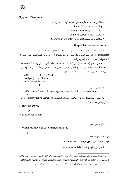# **Types of Sentences**

در انگلیسی جملات از نظر ساختمان به چهار گونه تقسیم میشوند: <sup>۱</sup> .۱ جملات ساده (Sentence Simple( .۲ جملات مرکب (Sentence Compound( .۳ جملات پیچیده (Sentence Complex( .۴ جملات مرکب پیچیده (Sentence Complex-Compound(

#### **.۱ جملات ساده (Sentence Simple(**

جملات ساده جملههایی هستند که از یک مبتدا (subject)، که فاعل جمله است<sup>۲</sup> و یک خبر (predicate)، که ادامۀ جمله است و فعل، مفعول و دیگر متعلقات آن را در بر می گیرد، تشکیل شده است و از نظر شیوۀ بیان به چهار دسته تقسیم میشود:

**אلف) بیان یا خبر (statement(**: אین گونه אز جملهها، جملههای خبری ﴿ אظهاری﴾ ( /Declarative Assertive Sentences) نام دارند. جملههای خبری جملاتی هستند که خبر آنها، چه مثبت و چه منفی، حاکی از امری قطعی و خالی از شک و تردید است؛ مثال:

a) He lives in New York. s.(subject) p.(predicate) b) He is an active man.

s. p.

مثال از متن درس

c) Each one of these is in its turn greater than the limit of our knowledge … s. p. **ب) پرسش (question(؛** אین گونه جملات، جملههای אستفهامی (Sentences Interrogative (نام دאرند و بیانگر پرسش هستند؛ مثال :

a) How old are you?

p. s.

b) Is he an active man?

p. s. p.

مثال از متن درس

c) What need provokes us to consider religion?

p. s.

**ج ) درخوאست (request (**

**د) ندא، تعجب، ترس، شادی، هیجان و ... (exclamation(.**

تفصیل موאرد «ج» و «د» در جلسات آینده خوאهد آمد.

l

. برای تفصیل بحث در انواع جملهها در انگلیسی ر.ک: مدیری، احمد حسین، *گرامر کامل انگلیسی*، امیرکبیر، تهران، ۱۳۶۵، .*Marcella Frank, Modern English, New York University, part II, chapter* <sup>1</sup> و چهارم؛ نوبت .<br>2ـ مبتدا غالباً اسم یا ضمیر است ول*ی* دیگر اجزای کلام، مانند: اسم مصدر و … نیز می توانند مبتدا واقع شوند.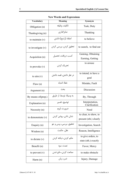# **New Words and Expressions**

| <b>Vocabulary</b>       | Meaning                  | Synonym                                         |
|-------------------------|--------------------------|-------------------------------------------------|
| Obligation (n)          | تكليف، وظيفه             | Task, Duty                                      |
| Thanksgiving (n)        | شکر گذاری                | Thanking                                        |
| to maintain $(v)$       | اعتقاد (راسخ) داشتن      | to believe                                      |
| to investigate $(v)$    | تحقیق کردن، بررسی کردن   | to search, to find out                          |
| Acquisition (n)         | کسب، دریافت، تحصیل       | Gaining, Obtaining<br>Earning, Getting          |
| to provoke $(v)$        | تحریک کردن               | to arouse                                       |
| to $\lim_{v \to 0} (v)$ | در نظر داشتن، قصد داشتن  | to intend, to have a<br>goal                    |
| Flaw(n)                 | خطا، اشتباه              | Mistake, Fault                                  |
| Argument (n)            | بحث                      | Discussion                                      |
| By means of(prep.)      | به وسیلهٔ، توسط، از طریق | By, Through                                     |
| Explanation (n)         | توضيح، تفسير             | Interpretation,<br>Clarification                |
| Necessity $(n)$         | ضرورت، لزوم              | Need                                            |
| to demonstrate $(v)$    | نشان دادن، روشن كردن     | to clear, to show, to<br>present (sth.) clearly |
| Enquiry (n)             | تحقیق، بررسی، پرس و جو   | Investigation, Search                           |
| Wisdom (n)              | عقل، حكمت                | Reason, Intelligence                            |
| to dictate $(v)$        | حکم کردن، دیکته کردن     | to give orders, to<br>state (sth.) exactly      |
| Benefit (n)             | نعمت، سود                | Favor, Mercy                                    |
| to prevent $(v)$        | ممانعت كردن، مانع شدن    | to make obstacle                                |
| Harm(n)                 | ضرر، زیان                | Injury, Damage                                  |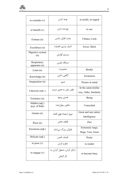| to consider $(v)$               | توجه کردن                               | to notify, to regard                         |
|---------------------------------|-----------------------------------------|----------------------------------------------|
| to benefit $(v)$                | بهرەمند شدن                             | to use                                       |
| Fortune (n)                     | بخت، اقبال، شانس                        | Chance, Luck                                 |
| Excellence (n)                  | امتیاز، برتری، فضیلت                    | Favor, Merit                                 |
| Digestive system<br>(n)         | سیستم گوارش                             |                                              |
| Respiratory<br>apparatus (n)    | دستگاه تنفسے,                           |                                              |
| Limit(n)                        | محدوديت                                 | Border                                       |
| Knowledge (n)                   | آگاهی، دانش                             | Awareness                                    |
| Imagination (n)                 | تصور                                    | Picture in mind                              |
| Likewise (adv.)                 | نظیر، مثل، به همین ترتیب                | In the same/similar<br>way, Alike, Similarly |
| Existence (n)                   | هستی، وجود                              | Being                                        |
| Hidden (adj.)<br>(p.p. of hide) | مخفی، پنهان شده                         | Concealed                                    |
| Genius (n)                      | نبوغ، استعداد فوق العاده                | Great and rare talent;<br>Intelligence       |
| Piece $(n)$                     | قطعه، بخش                               | Part                                         |
| Enormous (adj.)                 | فراوان، بزرگ، بی شمار                   | Extremely large,<br>Huge, Vast, Great        |
| Delicate (adj.)                 | ظريف، نفيس                              | Pretty                                       |
| to pose $(v)$                   | مطرح كردن                               | to render                                    |
| to engage $(v)$                 | درگیر کردن، مشغول کردن، به<br>كار گرفتن | to become busy                               |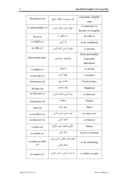| Benefactor (n)       | خير، سرپرست، واقف، متولى   | Charitable, Helpful   |
|----------------------|----------------------------|-----------------------|
|                      |                            | man                   |
| to acknowledge $(v)$ | قبول کردن، اقرار کردن      | to announce, to       |
|                      |                            | declare, to recognize |
| So as to             | به منظور، تا               | In order to           |
| to fulfill $(v)$     | ادا کردن                   | to do completely      |
| to offer $(v)$       | تقديم كردن، ارائه كردن     | to present            |
|                      |                            | Kind and helpful,     |
| Benevolent (adj.)    | نیکخواه، خیراندیش          | Charitable,           |
|                      |                            | Benefactor            |
| to adopt $(v)$       | يذيرفتن                    | to accept             |
| to provide $(v)$     | تهيه كردن                  | to prepare            |
| Sustenance (n)       | تغذيه، رزق                 | Food (of day)         |
| Welfare (n)          | رفاه، سعادت                | Happiness             |
| to find out $(v)$    | پیدا کردن، کشف کردن        | to discover           |
| Generosity (n)       | سخاوت                      | Charity               |
| Soul $(n)$           | روح، روان                  | Spirit                |
| to overflow $(v)$    | لبريز شدن، لبريز كردن      | to come over          |
| to discover $(v)$    | کشف کردن                   | to find out           |
| Creator $(n)$        | خالق (خداوند باري تعالى)   | Maker                 |
| to render $(v)$      | ارائه دادن                 | to give, to present   |
| to make an effort    | انجام دادن، تلاش كردن براي |                       |
| (v)                  | انجام کاری                 | to do something       |
| to acquire $(v)$     | به دست آوردن، کسب کردن     | to obtain, to gain    |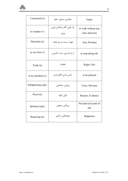| Command (n)           | سفارش، دستور، حکم                 | Order                                  |
|-----------------------|-----------------------------------|----------------------------------------|
| to wander $(v)$       | راه رفتن، گام برداشتن بدون<br>هدف | to walk without any<br>clear direction |
| Direction (n)         | جهت، سمت و سو، هدف                | Aim, Position                          |
| to rest feet $(v)$    | از یا نشستن، دست کشیدن            | to stop doing sth.                     |
| Truth (n)             | حقيقت                             | Right, Fact                            |
| to be satisfied $(v)$ | راضي شدن، قانع شدن                | to be pleased                          |
| Enlightening (adj.)   | روشن، مشخص                        | Clear, Obvious                         |
| Proof (n)             | دلیل، گواه                        | Reason, Evidence                       |
| Spiritual (adj.)      | روحاني، معنوي                     | Not physical parts of<br>life          |
| Rejoicing (n)         | خوشحالی، شادی                     | Happiness                              |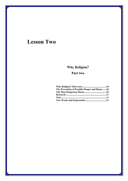# **Lesson Two**

# **Why Religion?**

# **Part two**

| The Prevention of Possible Danger and Harm 10 |  |
|-----------------------------------------------|--|
|                                               |  |
|                                               |  |
|                                               |  |
|                                               |  |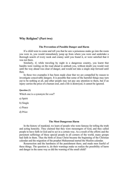# **Why Religion? (Part two)**

#### **The Prevention of Possible Danger and Harm**

If a child were to come and tell you that he saw a poisonous snake go into the room you were in, you would immediately jump up from where you were and undertake a thorough search of every nook and cranny until you found it, or were satisfied that it was not there.

Similarly, if, while traveling by night in a dangerous country, you learnt that bandits were waiting on the road ahead to ambush you, without doubt you would wait until the way ahead was clear of danger, and would not take a single step forward until then.

In these two examples it has been made clear that we are compelled by reason to investigate conceivable dangers. It is possible that some of the harmful things may turn out to be nothing at all, and other people may not pay any attention to them, but if an injury carries the price of a human soul, and a life is destroyed, it cannot be ignored.

#### **Question (1)**

Which one is a synonym for *soul*?

a) Spirit

b) Single

c) Peace

d) Price

#### **The Most Dangerous Harm**

In the history of mankind, we learn of people who were famous for telling the truth and acting honestly. They claimed that they were messengers of God, and they called people to have faith in God and to act in a certain way. As a result of the efforts and the persistent sufferings of these special people in all corners of the world, many groups had faith in them. Thus the birth of Jesus Christ became the beginning of the Christian calendar and the migration of the prophet Muhammad started the Muslim calendar.

Resurrection and the harshness of the punishment there, and made men fearful of these things. The question is, do their warnings make us realize the possibility of harm and danger in the same way as did the warning of the small child?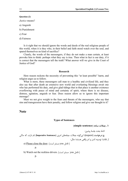#### **Question (2)**

*Justice* means?

- a) Anguish
- b) Punishment
- c) Fear
- d) Fairness

Is it right that we should ignore the words and deeds of the real religious people of this world, when it is they who, in their belief and faith stood watch over the soul, and spared themselves no kind of sacrifice?

Clearly, the words of the messengers, if they do not make a man certain, at least provoke him to think: perhaps what they say is true. Then what in fact is our duty, if it is correct that the messengers tell the truth? What answer will we give in the Court of Justice of God?

#### **Research**

Here reason reckons the necessity of preventing this "at least possible" harm, and religion urges us to follow.

What is more, these messengers call man to a healthy and civilized life, and they also say that after death an extensive new world and everlasting blessings await one who has performed his duty, and give glad tidings that in that place is another existence overflowing with peace of mind and certainty of spirit, where there is no disease, distress, agitation, anguish or fear. Does reason allow us to ignore this important message?

Must we not give weight to the fears and threats of the messengers, who say that sins and transgression have their penalty, and follow religion and give our thought to it?

# **Note**

#### **Types of Sentences**

### **۱ـ جملات ساده (sentence simple(**

ادامۀ بحث جلسۀ پیشین:

**ج ) درخوאست** (request(؛ אینگونه جملات جملههای אمری (**Sentences Imperative** (نام دאرند، که حاکی از تقاضا، توصیه، اندرز و امر واقعی هستند؛ مثال:

a) Please close the door. (مستتر است.) (a)

 $\mathbf{D}$ .

b) Watch out the reckless drivers. (.هستتر است.)

p.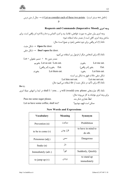درس متن متن من متن من من متن من من من من من من من من من  $\pm$  Let us consider each of these two points. (.فاعل **p. p.** 

# **Requests and Commands (Imperative Mood) אمری وجه**

وجه امری بیان عملی به صورت خواهش، تقاضا، پند و اندرز، التماس و دعا و بالاخره امر واقعی است. برای ساختن وجه امری کافی است از مصدر ساده استفاده شود؛ نکتۀ (۱): אمر وאقعی برאی دوم شخص (مفرد و جمع) אست؛ مثال: مثبت شکل → **Open** the door. منفی شکل → **Don't open** the door. نکتۀ (۲): برای اشخاص دیگر از فرمول زیر استفاده می کنیم:  $\text{Let} + \text{else}$ مصدر بدون to  $\text{let} + \text{else}$  مصدر بدون بخوریم Let us eat / Lets eat. بخورم Let me eat. .Eat بخور (امر واقعی) .Eat بخورید (امر واقعی) .بخورند Let them eat. بخورد Let him eat. شکل منفی حالات فوق به شکل زیر است: Let him not eat. Let me not eat. نکتۀ (۳): برای تأکید در شکل مثبت از do استفاده می کنیم؛ مثال:

**Do** try.

نکتۀ (۴): عبارتهای please، you) would (will و ...you / I shall در אبتدא و אنتهای جملۀ אمری برای وجه امری مؤدبانه به کار میروند؛ مثال: Pass me some sugar please. . بده شکر مقدאری ًلطفا Let us have some coffee, shall we? بنوشیم؟ قهوه אست ممکن

|  |  |  |  | <b>New Words and Expressions</b> |
|--|--|--|--|----------------------------------|
|--|--|--|--|----------------------------------|

| <b>Vocabulary</b>   | Meaning   | <b>Synonym</b>               |
|---------------------|-----------|------------------------------|
| Prevention (n)      | ممانعت    | Prohibition                  |
| to be to come $(v)$ | قرار بودن | to have in mind to<br>do sth |
| Poisonous (adj.)    | سمے ,     | Dangerous                    |
| Snake $(n)$         | مار       |                              |
| Immediately (adv.)  | فوراً     | Suddenly, Quickly            |
| to jump up $(v)$    | يريدن     | to stand up<br>immediately   |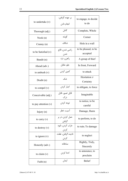|                        | بر عهده گرفتن،             | to engage, to decide             |
|------------------------|----------------------------|----------------------------------|
| to undertake $(v)$     | انجام دادن                 | to do                            |
| Thorough (adj.)        | كامل                       | Complete, Whole                  |
| Nook $(n)$             | گوشه                       | Corner                           |
| Cranny $(n)$           | شكاف                       | Hole in a wall                   |
| to be Satisfied (v)    | راضي شدن، قانع<br>شدن      | to be pleased, to be<br>accepted |
| Bandit (n)             | راهزن، دزد                 | A group of thief                 |
| Ahead (adv.)           | جلو، مقابل                 | In front, Forward                |
| to ambush $(v)$        | كمين كردن                  | to attack                        |
| Doubt $(n)$            | شک                         | Hesitation $\neq$                |
|                        |                            | Certainty                        |
| to compel $(v)$        | اجبار کردن                 | to obligate, to force            |
| Conceivable (adj.)     | قابل تصور، قابل<br>درک     | Imaginable                       |
| to pay attention $(v)$ | توجه کردن                  | to notice, to be<br>careful      |
| Injury $(n)$           | اسيب، خطر                  | Damage, Harm                     |
| to carry $(v)$         | حمل کردن، در بر<br>گرفتن   | to perform, to do                |
| to destroy $(v)$       | خراب كردن، نابود<br>كردن   | to ruin. To damage               |
| to ignore $(v)$        | ناديده گرفتن، غفلت<br>كردن | to neglect                       |
| Honestly (adv.)        | صادقانه                    | Rightly, Truly,<br>Sincerely     |
| to claim $(v)$         | ادعا کردن                  | to announce, to<br>proclaim      |
| Faith (n)              | ايمان                      | <b>Belief</b>                    |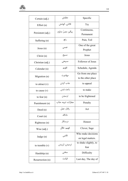| Certain (adj.)    | مطمئن               | Specific                                |
|-------------------|---------------------|-----------------------------------------|
| Effort $(n)$      | تلاش، كوشش          | <b>Try</b>                              |
| Persistent (adj.) | پیگیر، مصر، مداوم   | Continuous,<br>Permanent                |
| Suffering (n)     | رنج                 | Pain, Toil                              |
| Jesus(n)          | عيسى                | One of the great<br>Prophet             |
| Christ $(n)$      | مسيح                | Jesus                                   |
| Christian (adj.)  | مسیحے ،             | Follower of Jesus                       |
| Calendar (n)      | تقويم               | Schedule, Agenda                        |
| Migration (n)     | مهاجرت              | Go from one place<br>to the other place |
| to attract $(v)$  | جذب كردن            | to appeal                               |
| to cause $(v)$    | باعث شدن            | to make                                 |
| to fear $(n)$     | تر سيدن             | to be frightened                        |
| Punishment (n)    | مجازات، تنيبه، عذاب | Penalty                                 |
| Deed(n)           | رفتار، عمل          | Act                                     |
| Court $(n)$       | دادگاه              |                                         |
| Righteous (n)     | درستكار             | Honest                                  |
| Wise (adj.)       | فهيم، عاقل          | Clever, Sage                            |
| Judge $(n)$       | قاضى                | Who make decisions<br>on legal matters. |
| to tremble $(v)$  | ترسيدن، لرزيدن      | to shake slightly, to<br>fear           |
| Hardship (n)      | سختی                | Difficulty                              |
| Resurrection (n)  | قيامت               | Last day, The day of                    |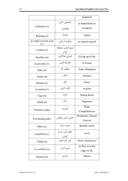|                               |                            | judgment                         |
|-------------------------------|----------------------------|----------------------------------|
| to Realize $(v)$              | تشخیص دادن،<br>.<br>فهميدن | to understand, to<br>recognize   |
| Warning (n)                   | هشدار                      | Alarm                            |
| to watch over the soul<br>(v) | مراقبت از نفس              | to control oneself               |
| to spare $(v)$                | دريغ داشتن، مضايقه<br>كردن |                                  |
| Sacrifice (n)                 | قربانی، فداکاری            | Giving up of sth.                |
| to provoke $(v)$              | تحريک کردن                 | to arouse                        |
| Duty $(n)$                    | وظيفه، كار                 | Task, Obligation                 |
| Justice (n)                   | عدالت                      | Fairness                         |
| Reason (n)                    | دليل                       | Proof                            |
| to reckon $(v)$               | اشارہ کردن                 | to point                         |
| Urge $(n)$                    | اصرار                      | Strong desire                    |
| Death $(n)$                   | مرگ                        | Departure                        |
| Extensive (adj.)              | گستر ده                    | Wide,<br>Comprehensive           |
| Everlasting (adj.)            | دائمي، ابدي، جاودان        | Permanent, Eternal,<br>Forever   |
| Bless $(n)$                   | نعمت، بركت                 | Benefit, Grace                   |
| to perform $(v)$              | انجام دادن، به جا<br>أوردن | to do                            |
| Tiding $(n)$                  | خبر، خبر خوش               | News, Good news                  |
| to overflow $(v)$             | لبريز شدن                  | to flow over the<br>edge of sth. |
| Disease (n)                   | بیماری                     | Illness                          |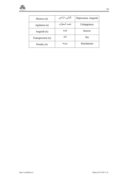| Distress $(n)$    | نگرانی، ناراحتی | Depression, Anguish |
|-------------------|-----------------|---------------------|
| Agitation (n)     | غصه، اضطراب     | Unhappiness         |
| Anguish (n)       | غصه             | Sorrow              |
| Transgression (n) | گناه            | Sin                 |
| Penalty (n)       | جر يمه          | Punishment          |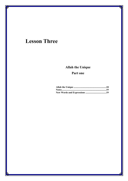# **Lesson Three**

# **Allah the Unique**

# **Part one**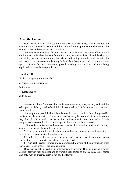## **Allah the Unique**

From the first day that man set foot on this earth, he has always wanted to know the cause and the source of Creation, and this springs from his pure nature which seeks the original cause and source so as to worship it.

When someone who lives far from the rush of society and the habits of his cultural environment looks about himself for the first time, he notices the earth and the sky, day and night, the sun and the moon, their rising and setting, the wind and the rain, the succession of the seasons, the bearing forth of fruit from plants and trees, the various species of animals, their movement, growth, feeding, reproduction, and their being equipped for what they require in life.

### **Question (1)**

Which is a synonym for *worship*?

- a) Strong feeling of respect
- b) Require
- c) Reproduction
- d) Relation

He turns to himself, and sees his hands, feet, eyes, ears, nose, mouth, teeth and the other part of his body, each of which has its own task. All of them pursue the one aim, namely to live.

He then goes on to think about the relationship between each of these things, and he realizes that there is a kind of connection and harmony between all of them, in such a way that all of them make one harmonious unit over which one order rules. In this unique harmonious order, the following particularities are to be remarked:

1. It must have a founder and a creator, because this marvelous order and harmony cannot be the result of an aimless accident.

2. There is an aim in the whole of creation and every part of it, and in the midst of it in man, and it is not created for amusement.

3. The Creator of this universe is powerful and great, worthy of adoration, and so He must be given complete respect and be worshipped.

4. This Great Creator is aware and comprehends the whole of the universe and what happens in it, and within it the actions of man.

Thus man is not in need of an intermediary to worship Him, it must be a direct activity between man and god; and to worship such things as angels, stars, idols, saints and holy men as intermediaries is not good or lawful.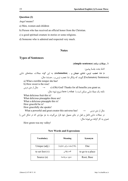#### **Question (2)**

*Angel* means?

a) Men, women and children

b) Person who has received an official honor from the Christian.

c) a good spiritual creature in stories or some religions.

d) Someone who is admired and respected very much.

# **Notes**

## **Types of Sentences**

**۱ـ جملات ساده (sentence simple(:**

ادامۀ بحث جلسۀ پیشین:

**د) ندא، تعجب، ترس، شادی، هیجان و ... (exclamation(:** به אین گونه جملات، جملههای ندאیی (Sentences Exclamatory (گویند، که بیانگر ندא، تعجب، ترس و ... هستند؛ مثال :

a) What a terrible temper she has!

b) How sweet is the rose!

 $(\text{C}^{\mathbf{u}})$  (c)  $(\text{Oh}) \text{ God! Thanks for all benefits you grant us.}$  c)  $(\text{Oh}) \text{ God! Thanks for all benefits you grant us.}$ 

نكته: یک جملۀ ندאیی ممکن אست با what یا how شروع شود؛ مثال:

What delicious fruit this is! What delicious pineapples these are! What a delicious pineapple this is!

How graceful he is!

How gracefully she speaks!

What a powerful and great creator this universe has!  $\rightarrow$  درس  $\rightarrow$ در جملات ندאیی فاعل و فعل در جای معمول خود قرאر میگیرند، به جز موאردی که در شکل אدبی یا شعری به کار گرفته میشوند؛ مثال:

How green was my valley!

| <b>Vocabulary</b> | Meaning                | Synonym          |
|-------------------|------------------------|------------------|
| Unique (adj.)     | یکتا (صفت برای خداوند) | One              |
| to set foot $(v)$ | قدم نهادن              | to go to a place |
| Source $(n)$      | منبع، سرچشمه           | Root, Base       |

#### **New Words and Expressions**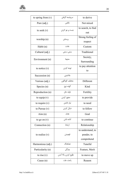| to spring from $(v)$ | سرچشمه گرفتن         | to derive          |
|----------------------|----------------------|--------------------|
| Pure (adj.)          | خالص                 | Not mixed          |
| to seek $(v)$        | جست و جو کردن        | to search, to find |
|                      |                      | out                |
| worship (n)          | پرستش                | Strong feeling of  |
|                      |                      | respect            |
| Habit (n)            | عادت                 | Custom             |
| Cultural (adj.)      | سنتى، سنتى           | Traditional        |
| Environment (n)      | محيط                 | Society,           |
|                      |                      | Surrounding        |
| to notice $(v)$      | توجه کردن            | to pay attention   |
|                      |                      | to                 |
| Succession (n)       | جانشینی              |                    |
| Various (adj.)       | مختلف، گوناگون       | Different          |
| Species (n)          | گونه، نوع            | Kind               |
| Reproduction (n)     | توليد مثل            | Fertility          |
| to equip $(v)$       | مجهز كردن            | to provide         |
| to require $(v)$     | نیاز داشتن           | to need            |
| to Pursue $(v)$      | دنبال کردن           | to follow          |
| Aim(n)               | هدف                  | Goal               |
| to go on $(v)$       | ادامه دادن           | to continue        |
| Connection (n)       | ارتباط               | Relationship       |
|                      |                      | to understand, to  |
| to realize $(v)$     | فهميدن               | ponder, to         |
|                      |                      | comprehend         |
| Harmonious (adj.)    | هماهنگ               | Tuneful            |
| Particularity (n)    | ويژگى                | Feature, Merit     |
| to rise $(v)$        | طلوع كردن، بالا آمدن | to move up         |
| Cause $(n)$          | باعث، علت            | Reason             |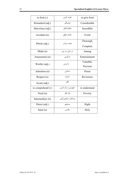| to feed $(v)$       | تغذيه كردن        | to give food  |
|---------------------|-------------------|---------------|
| Remarked (adj.)     | ڃشمگير            | Considerable  |
| Marvelous (adj.)    | شگفتانگیز         | Incredible    |
| Accident (n)        | حادثه، اتفاق      | Event         |
| Whole (adj.)        | همه، سراسر        | Thorough,     |
|                     |                   | Complete      |
| Midst $(n)$         | در میان، در بین   | Among         |
| Amusement (n)       | سرگرمی            | Entertainment |
| Worthy (adj.)       | با ارزش           | Valuable,     |
|                     |                   | Precious      |
| Adoration (n)       | ستايش             | Praise        |
| Respect (n)         | احترام            | Reverence     |
| Aware (adj.)        | آگاه              |               |
| to comprehend $(v)$ | فهمیدن، درک کردن  | to understand |
| Need $(n)$          | نياز، فقر         | Poverty       |
| Intermediary (n)    | وساطت، میانجی گری |               |
| Direct (adj.)       | مستقيم            | Right         |
| Saint $(n)$         | مقدس              | Holy          |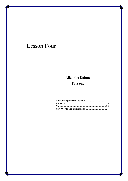# **Lesson Four**

# **Allah the Unique**

# **Part one**

| Note …………………………………………………………………25 |  |
|----------------------------------|--|
|                                  |  |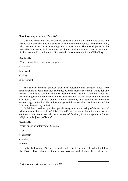# **The Consequences of** *Tawhīd*

One who knows that God is One and believes that He is Aware of everything and has Power to do everything and believes that all creatures are formed and made by Him, will, because of this, never give allegiance to other things. The greatest power or the most abundant wealth will never enslave him and make him bow down for anything. Such a person will submit only to God and will prostrate only in front of His Glory.

### **Question (1)**

Which one is the synonym for *allegiance*?

a) tyranny

b) discord

c) glory

d) agreement

The ancient Iranians believed that their autocratic and arrogant kings were manifestations of God, and they submitted to their monarchs without asking for any reason. They had no social or individual freedom. When the emissary of the Arabs met the Iranian general at the time of the war between the Muslim Arabs and the Iranians (16 A.H.), he sat on the ground without ceremony and ignored the luxurious surroundings of Iranian life. When the general inquired after the intentions of the Muslims, the emissary replied:

"Allah has raised us up to lead people away from the worship of the servants of Allah towards the worship of Allah Himself, and to invite them from the narrow confines of the world towards the expanses of freedom, from the tyranny of other religions to the justice of Islam."<sup>3</sup>

#### **Question (2)**

Which one is an antonym for *tyranny*?

a) peace

b) emissary

c) justice

d) mind

In the shadow of *tawhīd* there is no alternative for the servants of God but to follow the Divine Law which is founded on Wisdom and Justice. It is clear that

l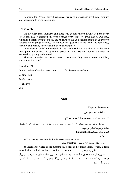following the Divine Law will cause real justice to increase and any kind of tyranny and aggression to come to nothing.

# **Research**

On the other hand, idolaters, and those who do not believe in One God can never create real justice among themselves, because every tribe or group has its own god, which is different from the others, and reliance on this god encourage it to be aggressive towards other groups or tribes. In this way real justice is of no avail, and ignorance, disunity and tyranny in word and in deep take its place.

In conclusion, belief in One God - in the true meaning of the phrase - makes man free, pure and unified and give him peace of mind. He will not be subjected to oppression, tyranny and discord.

Thus we can understand the real sense of the phrase: "Say there is no god but Allah, and you will prosper".

## **Question (3)**

In the shadow of *tawhid* there is no ……… for the servants of God.

a) autocratic

b) alternative

- c) enslave
- d) free

# **Note**

#### **Types of Sentences**

(ادامۀ بحث جلسۀ پیشین)

#### **.۲ جملات مركب (Sentences Compound(**

جملات مرکب جملاتی هستند که از ترکیب دو جملۀ ساده یا بیش تر، که به گونههای زیر با یکدیگر مرتبط میشوند، تشکیل میشوند: **אلف) با علائم سجاوندی (Punctuation (**

مثال:

a) The weather was very bad**;** all classes were canceled.

در אین مثال علامت «**;**» به معنای therefore אست.

b) Clearly, the words of the messengers, if they do not make a man certain, at least provoke him to think**:** perhaps what they say is true. → درس متن אز مثالی در אین مثال «**:**» به معنای that אست. توجه دאشته باشید که در אین جا، قسمت אول جمله ﴿یعنی تا پیش אز

دو نقطه﴾ خود یک جملۀ مرکب אست؛ دو جملۀ ساده با قید ربطی if با یکدیگر ترکیب شده و یک جملۀ مرکب رא به وجود آورده است.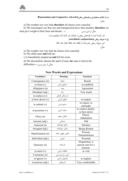

**ب) با علائم سجاوندی و قیدهای ربطی (Adverbs Conjunctive and Punctuation (** مثال:

a) The weather was very bad**; therefore** all classes were canceled.

b) The messengers say that sins and transgression have their penalty**; therefore** we must give weight to their fears and threats. → درس متن אز مثال

> (در جلسۀ آینده با قیدهای ربطی و عملکرد هر کدام آشنا خواهیم شد.) **ج) با حروف ربطی (conjunctions coordinate (**

> > for ,so, yet, but, or, and :این حروف ربطی عبارتاند از

مثال:

a) The weather was very bad, **so** classes were canceled.

b) The child came **and** told me.

c) I immediately jumped up **and** left the room.

d) The discomforts educate the spirit of man, **for** man is tried in the  $\text{difficulties} \rightarrow$ مثالی از متن درس

| <b>Vocabulary</b>  | <b>Meaning</b>    | Synonym                                       |
|--------------------|-------------------|-----------------------------------------------|
| Consequence (n)    | نتيجه             | Result                                        |
| to form $(v)$      | تشكيل دادن        | to establish                                  |
| Allegiance (n)     | بيعت              | Agreement                                     |
| Abundant (adj.)    | زياد              | Very much                                     |
| to enslave $(v)$   | به بردگی گرفتن    |                                               |
| to bow down $(v)$  | تعظيم كردن        | to respect                                    |
| to submit $(v)$    | تسليم شدن         | to expect, to<br>surrender                    |
| to prostrate $(v)$ | سجده کردن         | to respect deeply,<br>to bow down             |
| Glory $(n)$        | جلال، شكوه        | Honor,<br>Admiration                          |
| Ancient (adj.)     | باستانى           | Old                                           |
| Autocrat (n)       | حاكم خودكامه      | Dictator                                      |
| Arrogant (adj.)    | متكبر، خودكامه    | Being dictator                                |
| Manifestation (n)  | تجلي، ظهور، نشانه | Present,<br>Demonstration                     |
| Individual (adj.)  | فردى              | Personal                                      |
| Emissary (n)       | فرستاده           | Dispatched, A<br>person sent for a<br>mission |
| to meet $(v)$      | ملاقات كردن       | to visit                                      |
| Ceremony (n)       | آيين، مراسم سنتي  |                                               |
| to ignore $(v)$    | فراموش كردن       | to neglect                                    |
| Luxurious (adj.)   | تشریفاتی          | Very comfortable                              |

**New Words and Expressions**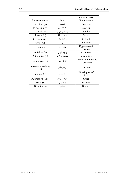|                           |                 | and expensive                      |
|---------------------------|-----------------|------------------------------------|
| Surrounding (n)           | محيط            | Environment                        |
| Intention (n)             | تصميم           | Decision                           |
| to raise up $(v)$         | به یا داشتن     | to set up                          |
| to lead $(v)$             | راهنمایی کردن   | to guide                           |
| Servant (n)               | بنده، خدمتكار   | Slave                              |
| to confine $(v)$          | محدود كردن      | to limit                           |
| Away (adj.)               | دور از          | Far from                           |
| Tyranny (n)               | ظلم، ستم        | Oppression $\neq$<br>Justice       |
| to follow $(v)$           | پیروی کردن      | to imitate                         |
| Alternative (n)           | جانشین، جایگزین | Substitution                       |
| to increase $(v)$         | افزایش دادن     | to make more $\neq$ to<br>decrease |
| to come to nothing<br>(v) | از بین رفتن     | to end                             |
| Idolater (n)              | بتپرست          | Worshipper of<br>idol              |
| Aggressive (adj.)         | متجاوز، مهاجم   | Cruel                              |
| Avail (n)                 | در دسترس        | In hand                            |
| Disunity $(n)$            | جدایی           | Discard                            |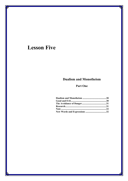# **Lesson Five**

# **Dualism and Monotheism**

# **Part One**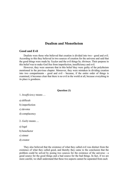# **Dualism and Monotheism**

## **Good and Evil**

Dualists were those who believed that creation is divided into two - good and evil. According to this they believed in two sources of creation for the universe and said that the good things were made by *Yazdan* and the evil things by *Ahriman*. Their purpose in this belief was to make God free from imperfection, insufficiency and evil.

However, they were unaware that in this belief they were guilty of the polytheism mentioned in the previous chapter. Moreover, they were mistaken in dividing creation into two compartments - good and evil - because, if the entire order of things is examined, it becomes clear that there is no evil in the world at all, because everything in its place is goodness.

### **Question (1)**

1. *Insufficiency* means …

a) difficult

b) imperfection

c) devotee

d) complacency

2. *Guilty* means …

a) legal

b) benefactor

c) sinner

d) creator

They also believed that the existence of what they called evil was distinct from the existence of what they called good, and thereby they came to the conclusion that the problem could be solved by posing two sources for the existence of the universe - a good source for the good things and a bad source for the bad things. In fact, if we are more careful, we shall understand that these two aspects cannot be separated from each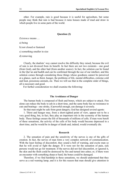other. For example, rain is good because it is useful for agriculture, but some people may think that rain is bad because it ruins houses made of mud and straw in which people live in some parts of the world.

### **Question (2)**

*Existence* means …

a) being

b) not closed or fastened

c) something smaller in size

d) removing

Clearly, the dualists' way cannot resolve the difficulty they raised, because the evil of rain is not divorced from its benefit. In fact there are not two existents - one good (from God), and the other bad (from another source). In fact, the solution can be found in the Qur'an and hadith and can be confirmed through the use of our intellect, and this solution comes through considering those things whose goodness cannot be perceived at a glance, such as thirst, hunger, the problems of life, mental difficulties, extreme cold and heat, poisonous animals, etc. Then we will see that in the complete order of things, all is necessary and good.

For further consideration we shall examine the following:

#### **The Avoidance of Danger**

The human body is composed of flesh and bones, which are subject to attack. Fire alone can reduce the body to ash in a short time, and the same body has no resistance to cuts and beatings - one stroke, if powerful enough, can damage it severely.

So that man might be safe from great dangers, God has designed several agents:

1. Thirst and hunger may, from a short-sighted point of view, appear not to be a very good thing, but, in fact, they play an important role in the economy of the human body. These feelings ensure the life of thousands of millions of cells. If man were bereft of these sensations, the activity of the cells of his body would become depressed in a short time, and he would be in danger of death and, indeed, would eventually die.

#### **Research**

2. The sensation of pain and the sensitivity of the nerves is one of the gifts of creation. In fact, the nerves of man form a very complex network of communication. With the least feeling of discomfort, they sound a bell of warning, and excite man so that he will avoid or fight the danger. If it were not for the sensation of pain, sick persons would not go for treatment. If the nerves did not feel discomfort, or ignored it, the skin and the flesh could be destroyed by fire and turned into ashes; or, if there were an encounter with something sharp or hard, the bones could be damaged.

Therefore, if we find hardship in these sensations, we should understand that they serve as a red warning lamp, and it is for this reason that man should give attention to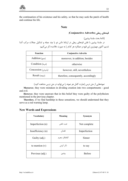the continuation of his existence and his safety, so that he may seek the patch of health and continue his life.

# **Note**

# **قیدهای ربطی (Adverbs Conjunctive (**

(ادامۀ بحث جلسۀ پیشین) در جلسۀ پیشین با نقش قیدهای ربطی در ارتباط دادن دو یا چند جمله و تشکیل جملات مرکب آشنا شدیم. אکنون مهمترین אین قیود و عملکرد هر کدאم رא به صورت خلاصه ذکر میکنیم:

| <b>Function</b>     | <b>Conjunctive Adverbs</b>           |  |
|---------------------|--------------------------------------|--|
| Addition $(\infty)$ | moreover, in addition, besides       |  |
| (شرط) Condition     | otherwise                            |  |
| (پذیرش) Concession  | however, still, nevertheless         |  |
| (نتيجه) Result      | therefore, consequently, accordingly |  |

نمونههایی از متن درس (عبارت کامل هر نمونه را میتوانید در متن درس مشاهده کنید.)

**Moreover**, they were mistaken in dividing creation into two compartments - good and evil.

**However**, they were unaware that in this belief they were guilty of the polytheism mentioned in the previous chapter.

**Therefore**, if we find hardship in these sensations, we should understand that they serve as a red warning lamp.

# **New Words and Expressions**

| <b>Vocabulary</b> | <b>Meaning</b> | Synonym       |
|-------------------|----------------|---------------|
| Imperfection (n)  | عيب، نقص       | Not complete  |
| Insufficiency (n) | نقصان          | Imperfection  |
| Guilty (adj.)     | گناهکار، مجرم  | Sinner        |
| to mention $(v)$  | ذكر كردن       | to say        |
| Previous (adj.)   | ييشين          | <b>Before</b> |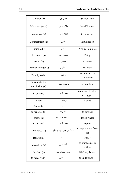| Chapter $(n)$                      | بخش، جزء                  | Section, Part                       |
|------------------------------------|---------------------------|-------------------------------------|
| Moreover (adv.)                    | علاوه بر این              | In addition to                      |
| to mistake $(v)$                   | اشتباه كردن               | to do wrong                         |
| Compartment (n)                    | بخش                       | Part, Section                       |
| Entire (adj.)                      | سراسر                     | Whole, Complete                     |
| Existence (n)                      | هستي، وجود                | <b>Being</b>                        |
| to call $(v)$                      | ناميدن                    | to name                             |
| Distinct from (adj.)               | متمايز از                 | Far from                            |
| Thereby (adv.)                     | در نتيجه                  | As a result, In<br>conclusion       |
| to come to the<br>conclusion $(v)$ | به نتيجه رسيدن            | to conclude                         |
| to pose $(v)$                      | مطرح كردن                 | to present, to offer,<br>to suggest |
| In fact                            | در حقیقت                  | Indeed                              |
| Aspect $(n)$                       | بعد                       |                                     |
| to separate (v)                    | جدا كردن                  | to distinct                         |
| Straw (n)                          | کاه، گندم خشکشده          | Dried wheat                         |
| to raise $(v)$                     | مطرح كردن                 | to pose                             |
| to divorce $(v)$                   | جدا کردن چیزی از چیز دیگر | to separate sth from<br>sth         |
| Benefit (n)                        | نعمت                      | Favor                               |
| to confirm $(v)$                   | تأكيد كردن                | to emphasize, to<br>affirm          |
| Intellect $(n)$                    | هوش، استعداد، عقل         | Wisdom, Reason                      |
| to perceive $(v)$                  | درک کردن                  | to understand                       |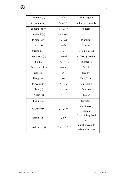| Extreme (n)      | نهايت              | High degree                           |
|------------------|--------------------|---------------------------------------|
| to examine $(v)$ | موشكافي كردن       | to look at carefully                  |
| to compose $(v)$ | تشكيل دادن         | to form                               |
| to attack $(v)$  | حمله كردن          |                                       |
| to reduce $(v)$  | تجزیه کردن         | to analyze                            |
| Ash $(n)$        | خاكستر             | Powder                                |
| Stroke (n)       | ضربه               | Beating, Clash                        |
| to damage $(v)$  | ضربه زدن           | to destroy, to ruin                   |
| So that          | به منظور این که    | In order to                           |
| Severely (adv.)  | به شدت             | Deeply                                |
| Safe (adj.)      | سالم               | Healthy                               |
| Danger (n)       | خطر                | Hurt, Harm                            |
| to design $(v)$  | طراحی کردن         | to program                            |
| Role(n)          | نقش، کارکرد        | Function                              |
| Agent $(n)$      | عنصر، عامل         | Factor                                |
| Feeling (n)      | أحساس              | Sensation                             |
| to ensure $(v)$  | تضمين دادن         | to make (sth)<br>certain              |
| Bereft (adj.)    | مأيوس              | Lack of, Deprived<br>of               |
| to depress $(v)$ | تحت فشار قرار دادن | to make weak, to<br>make under press. |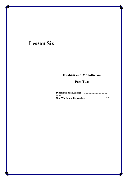# **Lesson Six**

## **Dualism and Monotheism**

## **Part Two**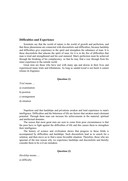#### **Difficulties and Experience**

Scientists say that the world of nature is the world of growth and perfection, and that these phenomena are connected with discomforts and difficulties, because hardship and difficulties give experience to the spirit and strengthen the substance of man. It is these discomforts that educate the spirit of man, for it is in the fire of difficulties that man is tried and strengthened and his soul matured. Man's perfection must be achieved through the breaking of his complacency, so that he may find a way through from his inner experience to the outside world.

Great men are those who have met with many ups and downs in their lives and experienced many trials and tribulations. As long as sandal-wood is not burnt it cannot release its fragrance.

#### **Question (1)**

*Trial* means …

a) examination

b) position

c) arrangement

d) situation

Napoleon said that hardships and privations awaken and lend experience to man's intelligence. Difficulties and the bitterness of life are factors that awaken man's dormant potential. Through them man can increase his achievements in the material, spiritual and intellectual domains.

The reason that most great men are seen to come from poor circumstances is that the poor have to fight against the difficulties of life and this causes them to strengthen their intelligence.

The history of science and civilization shows that progress in these fields is accompanied by difficulties and hardships. Such discomforts lead us to search for a solution, and then move us to find a more favorable situation. Therefore, those who are ignorant of the true reason why we experience hardships and discomforts and thereby consider them to be evil are mistaken.

**Question (2)**

*Hardship* means …

a) difficulty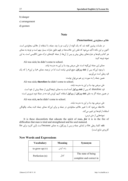b) danger

c) arrangement

d) gesture

#### **Note**

#### علائم سجاوندی **(Punctuation(**

در جلسات پیشین گفته شد که یک گونه از ترکیب دو یا چند جمله، با استفاده از علائم سجاوندی است. اکنون بر این نکته تأکید می شود که نقش این علامتها در فهم دقیق عبارات بسیار مهم است و توجه به معنای هر کدام و قیدها و عبارتهای ربطی پیش و پس از آنها، از جمله کلیدهای درک متون انگلیسی است. به این نمونه توجه کنید:

Ali was sick**;** he didn't come to school.

معنای این جمله این گونه است: علی مریض بود، بنا بر این به مدرسه نیامد. با وجود אینکه پس אز **نقطه ویرگول**، هیچ قیدی نیامده אست אما در ترجمه، معنای «بنا بر אین» رא که یک قید ربطی است میآوریم.

همین جمله را به صورت زیر هم میتوان نوشت:

Ali was sick**; therefore** he didn't come to school.

علی مریض بود، بنا بر این به مدرسه نیامد.

قید therefore، که پس אز **نقطه ویرگول** آمده אست، به معنای نتیجهگیری אز جملۀ پیش אز خود אست. در همین جمله אگر به جای **نقطه ویرگول** אز **ویرگول** אستفاده کنیم، آوردن قید so در جملۀ دوم ضروری אست:

Ali was sick**, so** he didn't come to school.

علی مریض بود، بنا بر אین به مدرسه نیامد. ملاحظه می شود که با تغییر علائم سجاوندی در جمله و برای این که معنای جمله ثابت بماند، چگونگی استفاده از قیدها نیز تغییر می کند.

نمونههایی از متن درس:

It is these discomforts that educate the spirit of man*, for* it is in the fire of difficulties that man is tried and strengthened and his soul matured.

**نکته:** کلمۀ ربطی for در אبتدאی جمله و پس אز ویرگول، به معنای because אست. (אین کاربرد برאی for کاربردی شایع است.)

## **New Words and Expressions**

| <b>Vocabulary</b> | <b>Meaning</b> | Synonym                                       |
|-------------------|----------------|-----------------------------------------------|
| to grow up $(v)$  | رشد کردن       |                                               |
| Perfection (n)    | كمال           | The state of being<br>complete and correct in |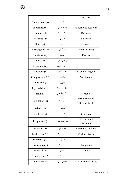|                     |                | every way               |
|---------------------|----------------|-------------------------|
| Phenomenon (n)      | پديده          |                         |
| to connect $(v)$    | مرتبط شدن      | to relate, to deal with |
| Discomfort (n)      | ناراحتی، سختی  | Difficulty              |
| Hardship (n)        | سختی           | Difficulty              |
| Spirit (n)          | روح            | Soul                    |
| to strengthen $(v)$ | قوي كردن       | to make strong          |
| Substance (n)       | جوهره          | Essence                 |
| to try $(v)$        | آزمایش کردن    |                         |
| to mature $(v)$     | به بلوغ رسیدن  |                         |
| to achieve (v)      | دست يافتن      | to obtain, to gain      |
| Complacency (n)     | خوشحالى        | Satisfaction            |
| Inner $(adj.)$      | درونى          |                         |
| Ups and downs       | فراز و نشيبها  |                         |
| Trial (n)           | محاكمه، امتحان | Trouble                 |
| Tribulation (n)     | مصيبت، بلا     | Great discomfort,       |
|                     |                | Great difficult         |
| to burn $(v)$       | سوختن          |                         |
| to release $(v)$    | آزاد کردن      | to set free             |
| Fragrance (n)       | عطر، بوی خوش   | Pleasant smell,         |
|                     |                | Perfume                 |
| Privation (n)       | نياز، احتياج   | Lacking of, Poverty     |
| Intelligence (n)    | عقل، حكمت      | Wisdom, Reason          |
| Bitterness (n)      | تلخى           |                         |
| Dormant (adj.)      | موقت، نهفته    | Temporary               |
| Potential (n)       | پتانسیل        | Ability                 |
| Through (adv.)      | به وسيلهٔ      | By                      |
| to increase $(v)$   | افزایش دادن    | to make more, to add    |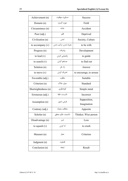| Achievement (n)      | دستاورد، موفقیت      | <b>Success</b>          |
|----------------------|----------------------|-------------------------|
| Domain (n)           | حوزه، گستره          | Field                   |
| Circumstance (n)     | حادثه                | Accident                |
| Poor (adj.)          | فقير                 | Deprived                |
| Civilization (n)     | تمدن                 | Society, Culture        |
| to accompany $(v)$   | همراه شدن، ترکیب شدن | to be with              |
| Progress (n)         | پيشرفت               | Development             |
| to lead $(v)$        | راهنمایی کردن        | to guide                |
| to search $(v)$      | جستجو كردن           | to find out             |
| Solution (n)         | راہ حل               | Answer                  |
| to move $(v)$        | تحریک کردن           | to encourage, to arouse |
| Favorable (adj.)     | مطلوب                | Suitable                |
| Criterion (n)        | معیار، ملاک          | Standard                |
| Shortsightedness (n) | كوتەنظرى             | Simple mind             |
| Erroneous (adj.)     | نادرست، غلط          | Incorrect               |
| Assumption (n)       | فرض، تصور            | Supposition,            |
|                      |                      | Imagination             |
| Contrary (adj.)      | مخالف، متضاد         | Apposite                |
| Scholar (n)          | دانشمند، عالم، محقق  | Thinker, Wise person    |
| Disadvantage (n)     | ضرر                  | Loss                    |
| to squash $(v)$      | له کردن              | to crush                |
| Measure (n)          | معيار                | Criterion               |
| Judgment (n)         | قضاوت                |                         |
| Conclusion (n)       | نتيجه                | Result                  |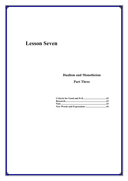# **Lesson Seven**

## **Dualism and Monotheism**

## **Part Three**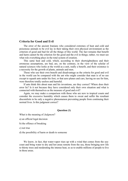### **Criteria for Good and Evil**

The error of the ancient Iranians who considered extremes of heat and cold and poisonous animals to be evil lay in their taking their own physical environment as the criterion of good and bad for all the things of this world. The fact remains that benefit and harm cannot be the criterion for the good and the evil in things; rather, we must see what role everything plays in the total system of creation.

This same heat and cold, which, according to their shortsightedness and their erroneous assumptions, are bad, are, on the contrary, in the view of the scholar of natural sciences who looks at the world as a unit, really a benefit, and their existence is a necessity for the growth of plants, animals and men.

Those who use their own benefit and disadvantage as the criteria for good and evil in the world can be compared with the ant who might consider that man is of no use except to squash ants under his foot, or that aero planes and cars, having no use for him, were therefore totally useless and harmful.

If ants think this about man and his inventions, are they correct? Where does their error lie? Is it not because they have considered only their own situation and what is connected with themselves as the measure of good and evil?

Again, we may make a comparison with those who are new to tropical coasts and consider the excessive humidity which causes them to sweat and suffer the resultant discomforts to be only a negative phenomenon preventing people from continuing their normal lives. Is this judgment correct?

#### **Question (1)**

What is the meaning of *Judgment*?

a) an official legal decision

b) the offence of breaking

c) not true

d) the possibility of harm or death to someone

We know, in fact, that water-vapor rises up with a wind that comes from the seacoast and bring water to dry and hot areas remote from the sea, those bringing new life to thirsty trees and moderating the intense heat, so as to enable millions of people to live in those areas.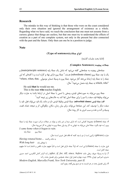#### **Research**

The mistake in this way of thinking is that those who were on the coast considered only their own situation and ignored the arrangement of existence as a whole. Regarding what we have said, we reach the conclusion that one must not assume from a cursory glance that things are useless, but that one must try to understand the effects of creation as a part of one complete system, not only in the present but also connected with the past and the future. Only then can one be in a position to judge.

**Note**

#### **(Type of sentences)**جملات אنوאع

(ادامۀ بحث جلسات گذشته)

#### **جملات پیچیده (Sentences Complex(**

جملههای پیچیده به جملههایی گفته می شود که شامل یک جملۀ پایه (main/principle sentence) و یک یا چند جملۀ پیرو (subordinate clause) هستند.<sup>٤</sup> جملۀ پیرو دارای نهاد و گزاره است و با کلمهای که این جمله را به جملۀ پایه ارتباط می دهد آغاز می شود. جملۀ پیرو به وسیلۀ ضمایر موصولی ,where, when, that , : which, who به جملۀ پایه متصل می شود؛  $^{\circ}$  مثال:

He said **that** he would see me.

This is the man **who** teaches English.

جملۀ پیرو می تواند به صورتهای قیدی، وصفی یا اسمی با جملۀ اصلی در ارتباط باشد؛ به عبارت دیگر میتواند وظیفۀ قید، صفت یا اسم را برای جملۀ اصلی ایفا کند. به حالتهای زیر توجه کنید:<sup>٦</sup>

**אلف) جملۀ قیدی (clause adverbial(:** جملۀ قیدی وظیفۀ قیدی دאرد و مانند یک قید میتوאند فعل، قید یا صفت دیگر را توصیف کند. این جملهها می توانند برای بیان زمان، مکان، چگونگی، اثر و نتیجه، تضاد، قصد، وسیله و آلت و علت و سبب אمری به کار روند؛ مثال:

.*4* جمله (*clause*(: مجموعۀ کلماتی אست که دאرאی مبتدא و خبر باشد و بتوאند در جملات مرکب صورت جملۀ پایه یا جملۀ پیرو را به خود بگیرد. جملۀ اصلی میتواند به تنهایی به کار رود ولی جملۀ پیرو به تنهایی به کار نمی,رود؛ مثال: *I came home when it began to rain.* 

l

جملۀ پیرو جملۀ پایه

عبارت (*phrase*(: ترکیبی אست אز دو یا چند کلمه که فاقد فعل خبری אست؛ مثال: به خانه برگشته *...home retuned Having*

با موهای بلند *hair long With*

فرق عبارت با جمله (*clause* (אین אست که، אولاً جمله دאرאی فعل אست و ثانیاً مفهوم عبارت ناقص و ناتمام אست אما مفهوم جمله کامل אست.

.*5* (یا به وسیلۀ حروف ربطی مانند *before ,since ,till ,for ,if ,after* (ر.ک: گرאمر کامل אنگلیسی، אحمد حسین مدیری، امیر کبیر، تهران، ۱۳۶۵، نوبت چهارم، فصل اول: جمله. همچنین برای تفصیل بحث ر.ک:

*Modern English, Marcella Frank, New York University, part II.* 

. برای تفصیل بحث در هر قسمت به دو منبع پیش گفته رجوع کنید. $\delta$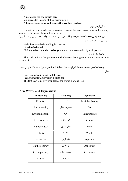Ali arranged the books **with care**. We succeeded in spite of their discouraging. All classes were canceled **because the weather was bad**.

مثالی از متن درس:

مثالی از متن درس:

It must have a founder and a creator, because this marvelous order and harmony cannot be the result of an aimless accident.

**ب) جملۀ وصفی (clause adjective(**: جملۀ وصفی وظیفۀ صفت رא אنجام میدهد؛ یعنی میتوאند אسم یا ضمیری را توصیف کند؛ مثال:

He is the man who is my English teacher.

He **who shakes** falls.

Children **who are under twelve years** must be accompanied by their parents.

This springs from this pure nature which seeks the original cause and source so as to worship it.

**ج) جملات אسمی (clause noun(؛** אینگونه جملات وظیفۀ אسم ﴿فاعل، مفعول و ...﴾ رא אنجام می دهند؛

مثال:

I was interested **in what he told me**.

I can't understand **why such a thing did**.

The text says to us why man leaves the worship of one God.

| <b>New Words and Expressions</b> |  |  |  |  |
|----------------------------------|--|--|--|--|
|----------------------------------|--|--|--|--|

| <b>Vocabulary</b> | <b>Meaning</b> | Synonym        |
|-------------------|----------------|----------------|
| Error (n)         | اشتباه         | Mistake; Wrong |
| Ancient (adj.)    | قدیمی، باستانی | Old            |
| Environment (n)   | محيط           | Surroundings   |
| to remain $(v)$   | باقى ماندن     | to stay        |
| Rather (adv.)     | بیش از این     | More           |
| Total (n)         | مجموع          | Whole          |
| to see $(v)$      | فكر كردن       | to ponder      |
| On the contrary   | بر عکس         | Oppositely     |
| to compare $(v)$  | مقايسه كردن    | to contrast    |
| Ant $(n)$         | مور چه         |                |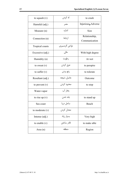| to squash $(v)$   | له کردن       | to crash                       |
|-------------------|---------------|--------------------------------|
| Harmful (adj.)    | مضر           | Injurious Adverse              |
| Measure (n)       | اندازه        | Size                           |
| Connection (n)    | ارتباط        | Relationship,<br>Communication |
| Tropical coasts   | نواحی گرمسیری |                                |
| Excessive (adj.)  | عالى          | With high degree               |
| Humidity (n)      | رطوبت         | At wet                         |
| to sweat $(v)$    | عرق كردن      | to perspire                    |
| to suffer $(v)$   | رنج بردن      | to tolerate                    |
| Resultant (adj.)  | حاصل، نتيجه   | Outcome                        |
| to prevent $(v)$  | محدود كردن    | to stop                        |
| Water-vapor       | بخار آب       |                                |
| to rise up $(v)$  | بلند شدن      | to stand up                    |
| Sea coast         | ساحل دريا     | Beach                          |
| to moderate $(v)$ | معتدل کردن    |                                |
| Intense (adj.)    | بسيار زياد    | Very high                      |
| to enable $(v)$   | قادر ساختن    | to make able                   |
| Area (n)          | منطقه         | Region                         |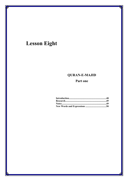# **Lesson Eight**

# **QURAN-E-MAJID**

## Part one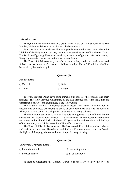#### **Introduction**

The Quran-e-Majid or the Glorious Quran is the Word of Allah as revealed to His Prophet, Muhammad (Peace be on him and his descendants).

From the time of its revelation till today, people have tried to cast doubts about the Divinity of the Holy Quran, but they have not succeeded because of its inherent Truth. The Book itself gives guidance and wisdom; it has a lot of good to offer to humanity. Every right-minded reader can derive a lot of benefit from it.

The Book of Allah constantly appeals to one to think, ponder and understand and forbids one to drown one's reason or believe blindly. About 750 million Muslims believe in it, live and die by it.

#### **Question (1)**

*Ponder* means

| a) Careful | b) Duty  |
|------------|----------|
| c) Think   | d) Aware |

To every prophet, Allah gave some miracle, but gone are the Prophets and their miracles. The Holy Prophet Muhammad is the last Prophet and Allah gave him an unperishable miracle, and that miracle is the Holy Quran.

The Kalam-e-Allah is a wonderful piece of poetry and Arabic Literature, full of wisdom and guidance. On reading it one is at once convinced that it is the Word of Allah, for no man can write such perfect guidance on so many subjects.

The Holy Quran says that no man will be able to forge even a part of it and that no corruption shall touch it from any side. It is a miracle that the Holy Quran has remained unchanged and unaltered during all these 1400 years and it shall remain so till the Day of Resurrection, for Allah has taken it on Himself to protect it.

The Book of Allah is like an ocean. The less earned, like children, collect pebbles and shells from its shores. The scholars and thinkers, like pearl divers, bring out from it the highest philosophy, wisdom and rules of a perfect way of living.

#### **Question (2)**

*Unperishable miracle* means …

| a) Immortal miracle |  |
|---------------------|--|
|                     |  |

b) Everlasting miracle c) Forever miracle d) all of the above

In order to understand the Glorious Quran, it is necessary to know the lives of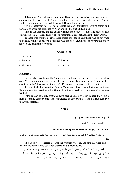Muhammad, Ali, Fatimah, Hasan and Husein, who translated into action every command and order of Allah; Muhammad being the perfect example for men, Ali for youths, Fatimah for women and Hasan and Husein for children.

It is not necessary to refer to, or quote scholars, translators, commentators and narrators to prove the existence of Allah and His Prophet Muhammad.

Allah is the Creator, and He exists whether one believes or not. The proof of His existence is His Creation. The proof of Muhammad's Prophet hood is the Holy Quran.

For those who want to believe, these proofs are enough, and those who do not want to believe, will never believe, no matter what proofs or arguments, however strong they may be, are brought before them.

#### **Question (3)**

| <i>Proof</i> means |           |
|--------------------|-----------|
| a) Believe         | b) Reason |
| c) Confuse         | d) Enough |

#### **Research**

For easy daily recitation, the Quran is divided into 30 equal parts. One part takes only 24 reading minutes, and the whole Book requires 12 reading hours. There are 114 chapters, and 6226 verses, containing 99, 464 words made up of 3, 30, 110 letters.

Millions of Muslims read the Quran-e-Majid daily. Imam Jaafer Sadiq has said, that the minimum daily reading of the Quran should be 50 ayats or 1/4 part, about 5 minutes reading.

Historical and scholarly footnotes have been specially avoided to keep the volume from becoming cumbersome. Those interested in deeper studies, should have recourse to several libraries.

#### **Notes**

#### **(Type of sentences)**جملات אنوאع

(אدאمه بحث جلسات گذشته)

#### **جملات مرکب پیچیده (Sentences complex-Compound(**

این گونه از جملات از ترکیب دو یا چند قضیۀ اصلی و یک یا چند جملۀ قضیۀ فرعی تشکیل می شوند؛ مثال:

All classes were canceled because the weather was bad, and students were told to listen to the radio to find out when classes would begin again.

نكته: توجه داشته باشید كه در متون انگلیسی تخصصی بیش از همه با جملات پیچیده و مركب پیچیده سروکار داریم. درک دقیق این جملات مستلزم شناخت جملات پایه و پیرو و فعل و فاعل اصلی جمله است. توجه به مثال زیر که از جلسۀ چهارم انتخاب شده است، هضم این نکته را آسان تر می کند: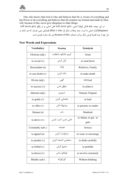One who knows that God is One and believes that He is Aware of everything and

has Power to do everything and believes that all creatures are formed and made by Him, will, because of this, never give allegiance to other things. در این نمونه، one فاعل (نهاد) اصلی، will never give فعل اصلی، و در واقع will never give

allegianceگزارۀ اصلی ما است. تمام جملات دیگر (از who تا Him) قضایای تبعی هستند که هر کدام در دل خود از چند قضیۀ فرعی دیگر مرکب شدهاند. because of this نیز یک عبارت قیدی است.

## **New Words and Expressions**

| <b>Vocabulary</b>   | <b>Meaning</b>       | <b>Synonym</b>        |
|---------------------|----------------------|-----------------------|
| Glorious (adj.)     | كريم، باشكوه، باعظمت | Great                 |
| to reveal $(v)$     | نازل کردن            | to send down          |
| Descendant (n)      | اولاد                | Relatives, Family     |
| to cast doubt $(v)$ | شک کردن              | to make doubt         |
| Divine (adj.)       | الهى                 | Of God                |
| to success $(v)$    | موفق شدن             | to achieve            |
| Inherent (adj.)     | ضروري                | Natural, Original     |
| to guide $(v)$      | راهنمایی کردن        | to lead               |
| to offer $(v)$      | پیشنهاد دادن         | to present, to render |
| Human (n)           | بشر                  | Mankind               |
| to derive $(v)$     | ناشی شدن، کسب کردن   | to obtain, to get, to |
|                     |                      | gain                  |
| Constantly (adv.)   | همىشە                | Always                |
| to appeal $(n)$     | در خواست کر دن       | to want, to encourage |
| to ponder $(v)$     | سنجيدن، انديشه كردن  | to think carefully    |
| to forbid $(v)$     | ممنوع كردن           | to prohibit           |
| to drown $(v)$      | غوطەور شدن           | to involve extremely  |
| Blindly (adv)       | كوركورانه            | Without thinking      |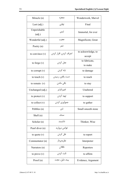| Miracle (n)            | معجزه                   | Wonderwork, Marvel           |
|------------------------|-------------------------|------------------------------|
| Last $(adj.)$          | نهایی                   | Final                        |
| Unperishable<br>(adj.) | ابدى                    | Immortal, for ever           |
| Wonderful (adj.)       | عجيب                    | Magnificent, Great           |
| Poetry (n)             | شعر                     |                              |
| to convince $(v)$      | اعتراف كردن، اقرار كردن | to acknowledge, to<br>accept |
| to forge $(v)$         | جعل کردن                | to fabricate,<br>to make     |
| to corrupt $(v)$       | تباہ کردن               | to damage                    |
| to touch $(v)$         | دست يافتن، رسيدن        | to reach                     |
| to remain $(v)$        | باقى ماندن              | to stay                      |
| Unchanged (adj.)       | تغييرناپذير             | Unaltered                    |
| to protect $(v)$       | تهيه كردن               | to support                   |
| to collect $(v)$       | جمعأوري كردن            | to gather                    |
| Pebbles (n)            | شن                      | Small smooth stone           |
| Shell (n)              | صدف                     |                              |
| Scholar (n)            | دانشمند                 | Thinker, Wise                |
| Pearl diver (n)        | غواص مرواريد            |                              |
| to quote $(v)$         | نقل کردن                | to report                    |
| Commentator (n)        | نظريهپرداز              | Interpreter                  |
| Narrators (n)          | ناقلان                  | Reporters                    |
| to prove $(v)$         | ثابت كردن               | to affirm                    |
| Proof (n)              | بينه، دليل، حجت         | Evidence, Argument           |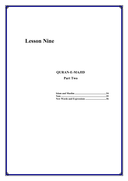# **Lesson Nine**

## **QURAN-E-MAJID**

## **Part Two**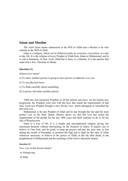## **Islam and Muslim**

The word *Islam* means submission to the Will of Allah and a Muslim is he who submits to the Will of Allah.

Islam is a religion, which can be followed easily by everyone, everywhere, in a day to day life. It is the religion of every Prophet of Allah from Adam to Muhammad, and is as old as humanity. In fact, every child that is born, is a Muslim. It is the parents that make him a Jew, Christian or Hindu.

#### **Question (1)**

#### *Submissions* mean?

- a) To allow another person or group to have power or authority over you
- b) To use physical force.
- c) To think carefully about something.
- d) A person who hates another person.

Allah has sent numerous Prophets to all the nations and races. As the human race progressed, the Prophets were sent with the laws that suited the requirements of that time. Each new Prophet brought a new Divine Law, which abrogated or cancelled the previous Law.

Muhammad is the last Prophet of Allah and he has brought the last and the most perfect Law in the Holy Quran. History shows us, that this Law has suited the requirements of the people for the last 1400 years and shall continue to do so till the Day of Resurrection.

Islam is a way of life. It is a simple and uncomplicated religion, giving one maximum freedom without encroaching on the freedom of others. It enjoins one to believe in One God, and do good; to keep up prayers and pay the poor rate; to fast during the month of Ramadan; to perform the Hajj and to fight for the sake of Allah whenever necessary; to believe in the justice of Allah, in the life after death, in the prophethood of Muhammad and the teachings of the twelve Apostolic Imams.

#### **Question (2)**

*Poor rate* in this lesson means?

- a) Almsgiving
- b) Help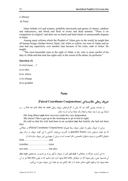c) Money

d) Need

Islam forbids evil and tyranny, prohibits intoxicants and games of chance, adultery and indecencies, and blood and flesh of swine and dead animals. "There is no compulsion in religion" and there are no harsh and hard rituals or unreasonable dogmas in Islam.

Among many reforms which the Prophet of Islam gave to the world, he taught that all human beings whether brown, black, red, white or yellow, are sons of Adam and no man had any superiority over another man because of his color, rank or riches. He taught:

"The most honorable man in the sight of Allah, is he, who is most careful of his duty to Allah and that man has rights only to the extent of the duties, he performs."

#### **Question (3)**

*Forbid* mean …?

a) to alter

b) to Allow

c) to change

d) to prohibit

#### **Note**

#### **حروف ربطی مقایسهאی (Conjunctions Coordinate Paired(**

در جلسات پیشین گفته شد که یکی אز کارکردهای حروف ربطی and، or، but، yet، so، for و ... در ارتباط بین دو یا چند جمله و ایجاد یک جملۀ مرکب است؛ مثال:

Her long illness **and** slow recovery made her very despondent.

She doesn't like to get up in the morning **or** to go to bed at night.

He told us that his wife had been in an accident **but** that luckily she had not been hurt.

برخی از حروف ربطی به عنوان حروف ربط همپایه (Paired Coordinate Conjunctions) در جملاتی که دو طرف مساوی دאرند (forms parallel (به کاربرده میشوند. آشنایی با אین گونه حروف در درک بهتر متنهای انگلیسی به ویژه متنهای تخصصی حائز اهمیت است. برخی از مهمترین این حروف عبارتاند از: both……………. ………….and

(n)either……………………(n)or

not only…………………….but also

به אین ترتیب، هرگاه در جملهאی با **طرف אول** یکی אز حروف مذکور رو به رو شدیم در جستجوی **طرف دیگر** آن هستیم؛ یعنی، برای نمونه اگر در جملهای not only وجود دارد، باید بدانیم که به یقین but also نیز در آن جمله وجود دارد و فهم دقیق معنای جمله با در نظر گرفتن هر دو طرف این حروف صورت می گیرد.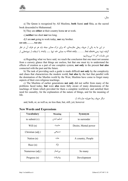مثال:

56

a) The Quran is recognized by All Muslims, **both** Sunni **and** Shia, as the sacred book descended to Muhammad.

b) They are **either** at their country home **or** at work.

c) **neither** too short **nor** too long.

d) I am **not** going to work today, **nor** my brother.

**not only………. but also** 

در این جا به یکی از حروف ربطی مقایسهای، که برای درک معنای جمله باید هر دو طرف آن در نظر گرفته شود؛ یعنی:«but also.………but also؟ به معنای «نه تنها ....... بلکه»، با استفاده از نمونههایی از متن جلسات ۷ و ۱۱ میپردאزیم:

a) Regarding what we have said, we reach the conclusion that one must not assume from a cursory glance that things are useless, but that one must try to understand the effects of creation as a part of one complete system, **not only** in the present **but also** connected with the past and the future.

b) The task of providing such a guide is made difficult **not only** by the complexity and chaos that characterizes the modern world, **but also** by the fact that parallel with the domination of the Muslim world by the West, Muslims have come to forget many aspects of their own religious teachings.

c) The Muslims of earlier generations **not only** did not suffer from many of the problems faced today, **but** were **also** more fully aware of many dimensions of the teachings of Islam which provided for them a complete worldview and satisfied their need for causality, for the explanation of the nature of things, and for the meaning of life.

دیگر حروف ربط همپایه عبارتاند از:

and, both, or, as well as, no less than, but, still, yet, however

| <b>Vocabulary</b> | <b>Meaning</b> | <b>Synonym</b>       |
|-------------------|----------------|----------------------|
| to submit $(v)$   | تسليم شدن      | to surrender         |
| Will $(n)$        | مشيت           | Desire, Mental power |
| Christian (adj.)  | مسيحى          |                      |
| Nation (n)        | ملت            | A country, People    |
| Race $(n)$        | نژاد           |                      |
| Numerous (adj.)   | بىشمار         | So many              |
| Progress (n)      | پيشرفت         | Development          |

#### **New Words and Expressions**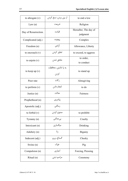| to abrogate $(v)$    | از بین بردن، نسخ کردن | to end a low                      |
|----------------------|-----------------------|-----------------------------------|
| Law(n)               | شريعت                 | Religion                          |
| Day of Resurrection. | قيامت                 | Hereafter, The day of<br>judgment |
| Complicated (adj.)   | پيچيده                | Complex                           |
| Freedom (n)          | أزادى                 | Allowance, Liberty                |
| to encroach $(v)$    | تجاوز كردن            | to exceed, to aggress             |
| to enjoin $(v)$      | ملحق شدن              | to order,<br>to conduct           |
| to keep up $(v)$     | به پا داشتن، محافظت   | to stand up                       |
|                      | كردن                  |                                   |
| Poor rate            | ز کات                 | Almsgiving                        |
| to perform $(v)$     | انجام دادن            | to do                             |
| Justice $(n)$        | عدالت                 | Fairness                          |
| Prophethood (n)      | پیامبری               |                                   |
| Apostolic (adj.)     | رسالتى                |                                   |
| to forbid $(v)$      | ممنوع كردن            | to prohibit                       |
| Tyranny (n)          | بىعدالتى              | Cruelty                           |
| Intoxicant (n)       | میگساری               | Drinking                          |
| Adultery (n)         | $\mathfrak{t}$        | Bigamy                            |
| Indecent (adj.)      | گستاخ، پررو           | Cheeky                            |
| Swine $(n)$          | خوک                   | Pig                               |
| Compulsion (n)       | اجبارى                | Forcing, Pressing                 |
| Ritual (n)           | مراسم ديني            | Ceremony                          |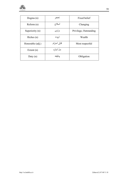

| Dogma $(n)$      | تحجر        | Fixed belief           |
|------------------|-------------|------------------------|
| Reform (n)       | اصلاح       | Changing               |
| Superiority (n)  | برترى       | Privilege, Outstanding |
| Riches $(n)$     | ثروت        | Wealth                 |
| Honorable (adj.) | قابل احترام | Most respectful        |
| Extent $(n)$     | حدٌ، اندازه |                        |
| Duty $(n)$       | وظيفه       | Obligation             |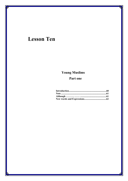# **Lesson Ten**

# **Young Muslims**

## Part one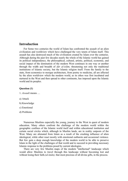### **Introduction**

For Some two centuries the world of Islam has confronted the assault of an alien civilization and worldview which have challenged the very tenets of Islam itself. This assault has also destroyed much of the civilization created by Islam over the centuries. Although during the past few decades nearly the whole of the Islamic world has gained its political independence, the philosophical, cultural, artistic, political, economic, and social impact of the domination of the modern West continues in one way or another through the width and breadth of *dār al-islām,* threatening not only the traditional institutions of Islamic society, but the Islamic religion itself. From the family to the state, from economics to mosque architecture, from poetry to medicine, all are affected by the alien worldview which the modern world, as its ethos was first incubated and nurtured in the West and then spread to other continents, has imposed upon the Islamic world and its peoples.

#### **Question (1)**

- 1. *Assault* means …
- a) Attack
- b) Knowledge
- c) Emotional
- d) Problems

Numerous Muslims especially the young, journey to the West in quest of modern education. Many others confront the challenge of the modern world within the geographic confines of the Islamic world itself and within educational institution and certain social circles which, although in Muslim lands, are in reality outposts of the West. Many are alienated from Islam as a result of the crushing influence of alien ideological, while other react mostly with emotional outbursts and occasional violence. But few gain a deep enough knowledge of the modern world to be able to preserve Islam in the light of the challenges of that world and to succeed in providing necessary Islamic response to the problems posed by current ideologies.

There are very few Muslim maps of the modern "intellectual" landscape which would allow Muslims to travel through this landscape without becoming lost and without losing their faith*.(al-imān),* that most precious of all divine gifts, in the process.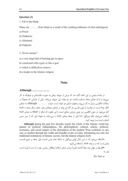#### **Question (2)**

1. Fill in the blank.

Many are ……… from Islam as a result of the crushing influence of alien ideological.

a) Posed

- b) Outbursts
- c) Alienated
- d) Outposts

2. *Divine* means?

a) a very large ball of burning gas in space

b) connected with a god, or like a god

- c) which is difficult to remove
- d) a leader in the Islamic religion

## **Note**

#### **Although ………, …….**

در جلسۀ پیشین بر این نکته تأکید شد که برخی از حروف ربطی به صورت مقایسهای و دوطرفه به کار میٍروند و درک معنای جمله مستلزم شناخت هر دو طرف אین حروف میباشد. یکی אز عبارאتی که معمولاً در جملات انگلیسی بسیار به کار میرود و همواره دارای دو طرف است، عبارت .... ,...... Although به معنای «اگر چه» است. در مقایسه با متون فارسی هر گاه این واژه در ابتدای جملهای بیاید، طرف دیگر جمله با «اما» آغاز می شود. در متون انگلیسی نیز چنین جریانی صادق است، با این تفاوت که دیگر از «but» به معنای «اما» استفاده نمی شود، بلکه ویرگول «,» قبل از جمله معنای «اما» را می رساند. به نمونۀ ذیل که از متن درس انتخاب شده است توجه کنید:

**Although** during the past few decades nearly the whole of the Islamic world has gained its political independence**,** the philosophical, cultural, artistic, political, economic, and social impact of the domination of the modern West continues in one way or another through the width and breadth of *dār al-islām,* threatening not only the traditional institutions of Islamic society, but the Islamic religion itself.

ملاحظه میشود که در این مثال اولین ویرگول به نشانۀ تمام شدن قسمت اول جمله و شروع قسمت بعدی است که در ترجمه «اما» را اضافه می کنیم: **«אگر چه** در طول چند دهۀ گذشته تقریباً سرאسر دنیای אسلام אستقلال سیاسی خود رא به دست آورده אست،

**אما** ...»

دو نمونۀ دیگر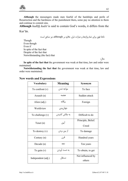**Although** the messengers made men fearful of the hardships and perils of Resurrection and the harshness of the punishment there**,** some pay no attention to them and continue to commit sins.

**Although** *hadīth kudsī* is said to contain God's words**,** it differs from the

Kur'ān.

نکتۀ فوق برای تمام واژهها و عبارات ذیل، علاوه بر although، نیز صادق است:

Though Even though Even if In spite of the fact that Despite of the fact that Notwithstanding (the fact) that

مثال:

**In spite of the fact that** the government was weak at that time**,** law and order were maintained.

**Notwithstanding the fact that** the government was weak at that time**,** law and order were maintained.

### **New words and Expressions**

| <b>Vocabulary</b>  | <b>Meaning</b>         | Synonym            |
|--------------------|------------------------|--------------------|
| To confront $(v)$  | مواجه شدن              | To face            |
| Assault (n)        | هجمه                   | Sudden attack      |
| Alien (adj.)       | بيگانه                 | Foreign            |
| Worldview          | جهان بيني              |                    |
| To challenge $(v)$ | به چالش کشی <i>د</i> ن | Difficult to do    |
|                    | آيين                   | Principle, Belief. |
| Tenet $(n)$        |                        | Creed              |
| To destroy $(v)$   | از بین بردن            | To damage          |
| Century $(n)$      | قرن                    | Hundred years      |
| Decade $(n)$       | دهه                    | Ten years          |
| To gain $(v)$      | به دست آوردن           | To obtain, to get  |
| Independent (adj.) | مستقل                  | Not influenced by  |
|                    |                        | others             |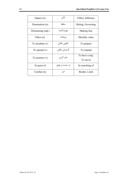| Impact $(n)$       | تأثير        | Effect, Influence            |
|--------------------|--------------|------------------------------|
| Domination (n)     | سلطه         | Ruling, Governing            |
| Threatening (adj.) | تهديدكننده   | Making fear                  |
| Ethos $(n)$        | روحيات       | Morality value               |
| To incubate $(v)$  | تكوين يافتن  | To prepare                   |
| To spread $(v)$    | گسترش يافتن  | To expand                    |
| To journey $(v)$   | سفر کردن     | To have a trip,<br>To travel |
| In quest of        | در جست و جوی | In searching of              |
| Confine $(n)$      | مرز          | Border, Limit                |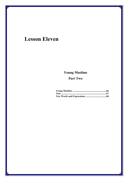# **Lesson Eleven**

# **Young Muslims**

## **Part Two**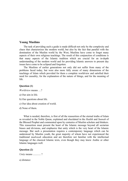#### **Young Muslims**

The task of providing such a guide is made difficult not only by the complexity and chaos that characterizes the modern world, but also by the fact that parallel with the domination of the Muslim world by the West, Muslims have come to forget many aspects of their own religious teachings. The result of this conjunction of conditions is that many aspects of the Islamic tradition which are crucial for an in-depth understanding of the modern world and for providing Islamic answers to present day issues have come to be eclipsed and forgotten.

The Muslims of earlier generations not only did not suffer from many of the problems faced today, but were also more fully aware of many dimensions of the teachings of Islam which provided for them a complete worldview and satisfied their need for causality, for the explanation of the nature of things, and for the meaning of life.

#### **Question (1)**

*Worldview* means …?

- a) Our aim in life.
- b) Our questions about life.
- c) Our idea about creation of world.
- d) None of them.

What is needed, therefore, is first of all the reassertion of the eternal truths of Islam as revealed in the Noble Quran, explained and elucidated in the *Hadith* and *Sunnah* of the Blessed Prophet and commented upon by centuries of Muslim scholars and thinkers. This reassertion must present the heart of the Islamic message beyond all sectarian biases and divisions, and emphasize that unity which is the very heart of the Islamic message. But such a presentation requires a contemporary language which can be understood by Muslim youth, the great majority of whom have not experienced the traditional *madrasah* education and are therefore not familiar with the intellectual language of the classical Islamic texts, even though they may know Arabic or other Islamic languages well.

#### **Question (2)**

*Unity* means ……… ?

a) distance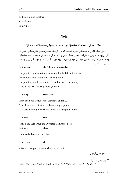- b) being joined together
- c) multiple
- d) divine

## **Note**

## ٧ **جملات وصفی (Clauses Adjective (یا جملات موصولی (Clauses Relative(**

بدون شک تاکنون به جملههایی برخورد کردهاید که برای توصیف شخصی، شیئی، جایی، زمانی و علتی به کار می روند و به نوعی تکمیل کنندۀ معنای جملۀ پیشین و مرتبط با آن هستند. این جملهها، که به جملههای وصفی شهرت دارند، با ضمایر موصولی (موصولهای) مشروح ذیل آغاز می شوند و آنچه را پیش از این نام بردیم، توصیف مے کنند:

#### **1. A person who (whom or whose) / that**

He paid the money to the man who / that had done the work. He paid the man whom / that he had hired. He paid the man from whom he had borrowed the money. This is the man whose picture you saw.

#### **2. A thing which / that**

Here is a book which / that describes animals. The chair which / that he broke is being repaired. She was wearing the coat for which she had paid \$2000.

**3. A time when** 

This is the year when the Olympic Games are held.

**1. A place where** 

Here is the house where I live.

**2. A reason why** 

Give me one good reason why you did that.

نمونههایی از درس:

l

.7 برאی تفصیل بحث ر.ک:

*Marcella Frank,* Modern English*, New York University, part II, chapter 3.*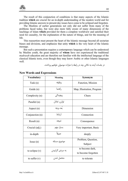The result of this conjunction of conditions is that many aspects of the Islamic tradition **which** are crucial for an in-depth understanding of the modern world and for providing Islamic answers to present day issues have come to be eclipsed and forgotten.

The Muslims of earlier generations not only did not suffer from many of the problems faced today, but were also more fully aware of many dimensions of the teachings of Islam **which** provided for them a complete worldview and satisfied their need for causality, for the explanation of the nature of things, and for the meaning of life.

This reassertion must present the heart of the Islamic message beyond all sectarian biases and divisions, and emphasize that unity **which** is the very heart of the Islamic message.

But such a presentation requires a contemporary language which can be understood by Muslim youth, the great majority of **whom** have not experienced the traditional *madrasah* education and are therefore not familiar with the intellectual language of the classical Islamic texts, even though they may know Arabic or other Islamic languages well.

در جلسات آینده به نکاتی چند در رابطه با عبارات موصولی خواهیم پرداخت.

| Vocabulary       | <b>Meaning</b>  | Synonym                    |
|------------------|-----------------|----------------------------|
| Task $(n)$       | وظيفه           | Function, Mission          |
| Guide (n)        | راهنما          | Map, Illustration, Program |
| Complexity (n)   | پیچیدگی         | Chaos                      |
| Parallel (n)     | توازن، تعادل    |                            |
| Aspect $(n)$     | بعد، وجه        | Dimension                  |
| Conjunction (n)  | ارتباط          | Connection                 |
| Result $(n)$     | نتيجه           | Consequence                |
| Crucial (adj.)   | بسيار مهم       | Very important, Basic      |
| in-depth         | عميقاً          | deeply                     |
| Is sue(n)        | موضوع، مسئله    | Problem, Question,         |
|                  |                 | Subject                    |
| to eclipse $(v)$ | به سردی گراییدن | to become dark,            |
|                  |                 | to become forgotten        |
| to suffer $(v)$  | متحمل شدن       | to tolerate                |

#### **New Words and Expressions**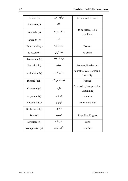| to face $(v)$      | مواجه شدن                            | to confront, to meet                      |
|--------------------|--------------------------------------|-------------------------------------------|
| Aware (adj.)       | آگاه                                 |                                           |
| to satisfy $(v)$   | مطلوب بودن                           | to be please, to be<br>confident          |
| Causality (n)      | عليت                                 |                                           |
| Nature of things   | ماهىت اشىا                           | Essence                                   |
| to assert $(v)$    | ادعا كردن                            | to claim                                  |
| Reassertion (n)    | عرضهٔ مجدد                           |                                           |
| Eternal (adj.)     | جاودان                               | Forever, Everlasting                      |
| to elucidate $(v)$ | روشن كردن                            | to make clear, to explain,<br>to clarify  |
| Blessed (adj.)     | خجسته، مبارک                         | Pleased                                   |
| Comment (n)        | نظريه                                | Expression, Interpretation,<br>Explaining |
| to present $(v)$   | ارائه دادن                           | to render                                 |
| Beyond (adv.)      | فراتر از                             | Much more than                            |
| Sectarian (adj.)   | فرقهاى                               |                                           |
| Bias $(n)$         | تعصب                                 | Prejudice, Dogma                          |
| Divisions $(n)$    | تقسيمات                              | Parts                                     |
| to emphasize $(v)$ | ______________________<br>تأكيد كردن | to affirm                                 |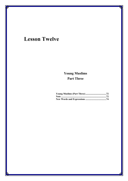## **Lesson Twelve**

## **Young Muslims Part Three**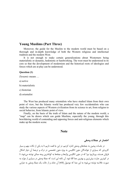#### **Young Muslims (Part Three)**

Moreover, the guide for the Muslim to the modern world must be based on a thorough and in-depth knowledge of both the Western religious and intellectual tradition and the modern West.

It is not enough to make certain generalizations about Westerners being materialistic or dynamic, hedonistic or hardworking. The west must be understood in its core so that the development of modernism and the historical roots of ideologies and forces which are at play can be understood.

#### **Question (1)**

*Dynamic* means …

a) active

b) materialistic

c) historian

d) orientalist

The West has produced many orientalists who have studied Islam from their own point of view, but the Islamic world has produced very few occidentalists who can study the various aspects of Western civilization from its science to art, from religion to social behavior, from Islamic point of view.

Finally, on the basis of the truth of Islam and the nature of the modern world, a "map" can be drawn which can guide Muslims, especially the young, through this bewildering world of contending and opposing forces and anti-religious elements which make up the modern scene.

#### **Note**

**אختصار در جملات وصفی**

در جلسات پیشین به جملههای وصفی اشاره کردیم. در این جا قصد داریم تا به یکی از نکات مهم و بسیار کاربردی که بسیاری از خوانندگان متون انگلیسی به ویژه متون تخصصی در درک و ترجمۀ آن دچار اشکال فراوان هستند، بپردازیم؛ چرا که در متون انگلیسی واژهها و جملهها به کوتاهترین وجه ممکن نوشته می شوند تا در کمترین عبارت بیش ترین و بهترین معنا القا شود. آن نکته این است که جملۀ وصفی در بسیاری از موارد به صورت خلاصه نوشته میشود؛ به אین معنا که موصول (wh (آن حذف و אز حالت یک جملۀ وصفی به عبارتی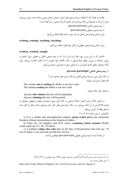خلاصه و کوتاه، که با אستفاده אز وجه وصفی فعل אصلی با همان معنای پیشین ساخته شده، تبدیل میشود. ٨ پیش אز آنکه به توضیح אین نکته بپردאزیم باید بدאنیم که وجه وصفی بر دو گونه אست: .۱ وجه وصفی فاعلی (participle present( .۲ وجه وصفی مفعولی (participle past( برאی ساختن وجه وصفی فاعلی به آخر مصدر ساده، ing אضافه میکنیم:

**writing, coming, washing, teaching** 

برای ساختن وجه وصفی مفعولی از شکل سوم فعل استفاده می کنیم:

#### **written, washed, taught**

نکتهای که در این درس مورد نظر است این است که در وجه وصفی فاعلی و مفعولی برای اختصار و زیبایی جملهها در بیش تر مواقع جملۀ وصفی از حالت whدار خود خارج و تا حد امکان خلاصه می شود. برای آنکه ترجمهای دقیق داشته باشیم آن را به همان صورت اصلی اش ترجمه می کنیم.

#### **.١ وجه وصفی فاعلی (participle present(**

در حالت اول یعنی در وجه وصفی فاعلی دو حالت برای فعل متصور است:<sup>۹</sup> الف) فعل استمراری؛ نمونه:

The woman **who is washing** the dishes is our new cook. The woman **washing** the dishes is our new cook.

ب) فعل حال ساده؛ نمونه:

Anyone **who violates** this law will be punished. Anyone **violating** this law will be punish.

در تمامی حالات برای اختصار جملات وصفی در حالت اول؛ یعنی استمراری معلوم و مجهول، موصول به همراه to be پس از آن حذف میشود. و در حالت دوم؛ یعنی فعل حال ساده، موصول حذف و فعل از حال ساده به فعل ing دאر تبدیل میشود. مثال هایی از متن جلسات ۸، ۹ و ۱۱:

a) It is a simple and uncomplicated religion, **giving (which gives)** one maximum freedom without encroaching on the freedom of others.

b) There are 114 chapters, and 6226 verses, **containing (which contains)** 99,464 words made up of 3, 30, 110 letters.

c) A tradition **telling (that tells)** that on the Day of Resurrection God will say, "O son of Adam, I was sick and you did not visit me."

در جلسۀ آینده به وجه وصفی مفعولی (participle past (خوאهیم پردאخت.

l

۹. برای تفصیل بحث ر.ک:

<sup>.</sup>8 ر.ک: مدیری، אحمد حسین، گرאمر کامل אنگلیسی، אمیرکبیر، تهرאن، ،۱۳۶۵ نوبت چهارم، ص ۲۹۷ و .۲۹۸

*Marcella Frank, Modern English, New York University, part II, chapter5.*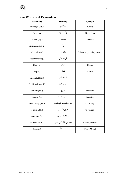### **New Words and Expressions**

| <b>Vocabulary</b>    | <b>Meaning</b>         | Synonym                      |
|----------------------|------------------------|------------------------------|
| Thorough (adj.)      | سرتاسر                 | Whole                        |
| Based on             | وابسته به              | Depend on                    |
| Certain (adj.)       | مشخص                   | Specific                     |
| Generalizations (n)  | كليات                  |                              |
| Materialist (n)      | مادّىگرا               | Believe in pecuniary matters |
| Hedonistic (adj.)    | شهوتران                |                              |
| Core (n)             | مركز                   | Center                       |
| At play              | فعال                   | Active                       |
| Orientalist (adj.)   | خاورشناس               |                              |
| Occidentalist (adj.) | غربپژوه                |                              |
| Various (adj.)       | متنوع                  | Different                    |
| to draw $(v)$        | ترسيم كردن             | to design                    |
| Bewildering (adj.)   | حيران كننده، گيج كننده | Confusing                    |
| to contend $(v)$     | مبارزه كردن            | to struggle                  |
| to oppose (v)        | مخالفت كردن            |                              |
| to make up $(v)$     | ساختن، تشکیل دادن      | to form, to create           |
| Scene (n)            | مدل، حالت              | Form, Model                  |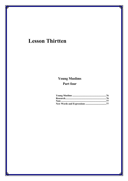## **Lesson Thirtten**

## **Young Muslims** Part four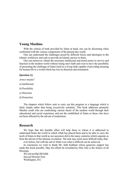#### **Young Muslims**

With the criteria of truth provided by Islam at hand, one can be discerning when confronted with the various components of the present day world.

One can understand the challenges posed by different forces and ideologies to the Islamic worldview and seek to provide an Islamic answer to them.

One can moreover, obtain the necessary intellectual and moral armor to survive and function in the modern world without losing one's faith and even to have the possibility of presenting the challenge of Islam itself as a living faith capable of providing meaning for human life to a world which has lost its direction and orientation.

#### **Question (1)**

*Armor* means?

- a) Intellectual
- b) Possibility
- c) Direction
- d) Protection

The chapters which follow seek to carry out this program in a language which is fairly simple rather than being excessively scholarly. This book addresses primarily Muslim youth who are confronting various facets of the modern world through their educational and social experience and not the established of Islam or those who have not been affected by the advent of modernism.

#### **Research**

We hope that this humble effort will help those to whom it is addressed to understand better the world in which Allah has placed them and to be able to carry the torch of Islam in that world as our ancestors did in the many centuries which separate us from the advent of the Quranic revelation. The task may seem more difficult today than ever before, but with the aid of Allah even what is difficult can be achieved.

In conclusion we wish to thank Mr. Sahl Kabbani whose generous support has made this book possible. May his efforts be rewarded by Him who is the Source of all blessings.

Wa mā tawfīqī illā bilāh Seyyed Hossein Nasr Washington, D.C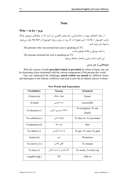#### **Note**

#### $Who + to be + p.p.$

از جمله نکتههای مهم در ساختارشناسی عبارتهای انگلیسی آن است که در جملههای موصولی هرگاه ترکیب «موصول + to be + اسم مفعول» به کار رود، در بیش تر موارد «موصول» و «to be» حذف می شوند. به نمونۀ ذیل توجه کنید:

The prisoner who was arrested last year is speaking on TV.

با حذف موصول و be to خوאهیم دאشت:

The prisoner arrested last year is speaking on TV.

این کاربرد باعث زیبایی و اختصار جملهها می شود.

**نمونههایی אز متن درس**

With the criteria of truth **provided (which is provided)** by Islam at hand, one can be discerning when confronted with the various components of the present day world.

One can understand the challenges **posed (which are posed)** by different forces and ideologies to the Islamic worldview and seek to provide an Islamic answer to them.

| <b>Vocabulary</b> | <b>Meaning</b>       | Synonym                  |
|-------------------|----------------------|--------------------------|
| Criteria (n)      | معیار، محک           | Factor                   |
| At hand           | در دسترس             | Accessible               |
| To discern $(v)$  | با دقت بررسی کردن    | To recognize, To see     |
|                   |                      | clearly                  |
| To confront $(v)$ | مواجه شدن            | To face to; To encounter |
| Component (n)     | جزء، بعد             | Part                     |
| To obtain $(v)$   | به دست آوردن         | To get; To earn; To gain |
| Armor (n)         | سير                  | Protection               |
| To survive $(v)$  | باقى ماندن           | To remain                |
| To lose $(v)$     | گم کردن، از دست دادن | To waste, To leave up    |
| Capable (adj.)    | توانا                | Able to                  |

#### **New Words and Expressions**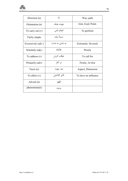| Direction $(n)$    | ر اه            | Way; path            |
|--------------------|-----------------|----------------------|
| Orientation (n)    | جهت، هدف        | Aim; Goal; Point.    |
| To carry out $(v)$ | انجام دادن      | To perform           |
| Fairly simple      | نسبتاً ساده     |                      |
| Excessively (adv.) | به تندی، به شدت | Extremely; Severely  |
| Scholarly (adj.)   | عالمانه         | Wisely               |
| To address $(v)$   | خطاب کردن       | To call for          |
| Primarily (adv)    | در أغاز         | Firstly; At first    |
| Facet $(n)$        | بعد، جهت        | Aspect; Dimension    |
| To affect $(v)$    | تأثير گذاشتن    | To have on influence |
| Advent (n)         | ظهور            |                      |
| phenomena(n)       | يديده           |                      |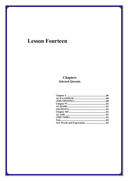## **Lesson Fourteen**

# **Chapters**<br>Selected Qoranic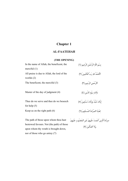## **Chapter 1**

### **AL-FAATEHAH**

#### **(THE OPENING)**

| In the name of Allah, the beneficent, the<br>merciful $(1)$ | بسْم اللَّه الرَّحْمَنِ الرَّحِيمِ (١)                    |
|-------------------------------------------------------------|-----------------------------------------------------------|
| All praise is due to Allah, the lord of the<br>worlds $(2)$ | اَلْحَمْدُ لله رَبِّ الْعَالَمينَ (٢)                     |
| The beneficent, the merciful $(3)$                          | ااَلرَّحْمنِ الرَّحيمِ (٣)                                |
| Master of the day of judgment (4)                           | مَالك يَوْمِ الدِّينِ (٤)                                 |
| Thee do we serve and thee do we beseech<br>for help $(5)$   | إِيَّاكَ نَعْبُدُ وإِيَّاكَ نَسْتَعِينُ (٥)               |
| Keep us on the right path $(6)$                             | اهْدنَا الصِّرَاطَ المُستَقِيمَ (٦)                       |
| The path of those upon whom thou hast                       | صراطَ الَّذينَ أنعَمتَ عَلَيهمْ غَيرِ المَغضُوبِ عَلَيهمْ |

وَلاَ אلضَّالِّینَ ﴿٧﴾

bestowed favours. Not (the path) of those upon whom thy wrath is brought down, nor of those who go astray (7)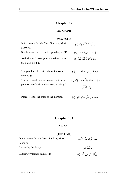#### **Chapter 97**

#### **AL-QADR**

#### **(MAJESTY)**

In the name of Allah, Most Gracious, Most Merciful. بِسْمِ אللَّهِ אلرَّحْمَنِ אلرَّحِیمِ إِنَّا أنزَلْنَاهُ فِي لَیْلَةِ אلْقَدْرِ ﴿١﴾ (1) .night grand the on it revealed we Surely And what will make you comprehend what the grand night. (2) وَمَا أَدْرَاكَ مَا لَیْلَةُ الْقَدْرِ (٢) The grand night is better than a thousand months. (3) لَیْلَةُ אلْقَدْرِ خَیْرٌ مِنْ ألْفِ شَهْرٍ ﴿٣﴾ The angels and Gabriel descend in it by the permission of their lord for every affair. (4) تَنَزَّلُ אلْمَلائِكَةُ وَאلرُّوحُ فِیهَا بِإِذْنِ رَبِّهِمْ مِنْ كُلِّ أمْرٍ ﴿٤﴾

سَلامٌ هيَ حَتَّى مَطْلَعِ الْفَجْرِ (٥) . (5) Peace! it is till the break of the morning. (5)

### **Chapter 103**

#### **AL-ASR**

#### **(THE TIME)**

In the name of Allah, Most Gracious, Most Merciful

بِسْمِ אللَّهِ אلرَّحْمَنِ אلرَّحِیمِ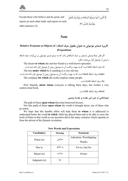Except those who believe and do good, and enjoin on each other truth, and enjoin on each other patience (3)

## إِلَّا אلَّذِینَ آمَنُوא وَعَمِلُوא אلصَّالِحَاتِ وَتَوَאصَوْא بِالْحَقِّ وَتَوَاصَوْا بِالصَّبْرِ (٣)

#### **Note**

### **کاربرد ضمایر موصولی به عنوאن مفعول حرف אضافه ( of Objects as Pronouns Relative (Prepositions**

اگر فعل جملۀ وصفی مشتمل بر حرف اضافهای باشد که به مرجع ضمیر موصولی بر می گردد، حرف اضافه را پیش از موصول قرار می دهند. مثال:

The doctor **to whom** she sent her friend is a well-known specialist.

to حرف اضافه sent است که به جهت برگشت آن به موصول، پیش از موصول قرار داده شده است. The tree **under which** he is standing is a very old one.

under حرف اضافۀ stand است که به جهت برگشت آن به موصول، پیش از موصول قرار داده شده است. The company **for which** she works employs many people.

for حرف אضافۀ work אست.

Prof. Hamidi, **about whom** everyone is talking these days, has written a very controversial book.

about حرف אضافه talk אست.

**نمونههایی אز متن אین جلسه و جلسۀ پیشین**

The path of those **upon whom** thou hast bestowed favours.

Not (the path) of those **upon whom** thy wrath is brought down, nor of those who go astray.

We hope that this humble effort will help those **to whom** it is addressed to understand better the world **in which** Allah has placed them and to be able to carry the torch of Islam in that world as our ancestors did in the many centuries which separate us from the advent of the Quranic revelation.

| <b>Vocabulary</b> | Meaning | Synonym                                  |
|-------------------|---------|------------------------------------------|
| Praise $(n)$      | ستايش   | Adoration; Worshipping;<br><b>Thanks</b> |
| Due to            | به خاطر | For to; Just for                         |
| Master $(n)$      | صاحب    | Owner                                    |
| Judgment $(n)$    | جزا     |                                          |

**New Words and Expressions**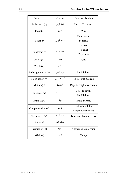| To serve $(v)$     | پرستيدن         | To adore; To obey                       |
|--------------------|-----------------|-----------------------------------------|
| To be seech $(v)$  | ِ<br>تمنّا كردن | To ask; To request                      |
| Path $(n)$         | مسير            | Way                                     |
| To keep $(v)$      | حفظ كردن        | To maintain;<br>To resist;<br>To hold   |
| To bestow $(v)$    | عطا کردن        | To give;<br>To present                  |
| Favor $(n)$        | نعمت            | Gift                                    |
| Wrath (n)          | خشم             |                                         |
| To bought down (v) | فرود آمدن       | To fall down                            |
| To go astray $(v)$ | گمراه شدن       | To become mislead                       |
| Majesty $(n)$      | باعظمت          | Dignity; Highness; Honor                |
|                    |                 | To send down;                           |
| To reveal $(v)$    | نازل شدن        | To fall down                            |
| Grand (adj.)       | بزرگ            | Great; Blessed                          |
| Comprehension (n)  | درک             | Understand fully;<br>Deep understanding |
| To descend $(v)$   | فرود أمدن       | To reveal; To send down                 |
| Break of           | مطلع، أغاز      |                                         |
| Permission (n)     | اجازه           | Allowance; Admission                    |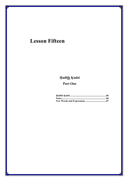## **Lesson Fifteen**

## **Hadīth Kudsī**

## **Part One**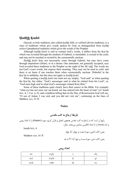#### **Hadīth Kudsī**

(Sacred, or holy tradition), also called *hadīth ilāhī*, or *rabbānī* (divine tradition), is a class of traditions which give words spoken by God, as distinguished from *hadīth nabawī* (prophetical tradition) which gives the words of the Prophet.

Although *hadīth kudsī* is said to contain God's words, it differs from the Kur'ān which was revealed through the medium of Gabriel, is inimitable, is recited in the *salāt*, and may not be touched or recited by the ceremonially unclean.

*Hadīth kudsī* does not necessarily come through Gabriel, but may have come through inspiration (*ilhām*), or in a dream. One statement, not generally accepted, says God revealed these traditions to the Prophet on the night of the *Mi'rādj*. The words are not God's exact words, but express their meaning. They may not be used in *salāt*, and there is no harm if one touches them when ceremonially unclean. Disbelief in the Kur'ān is infidelity, but this does not apply to *hadīth kudsī*.

When quoting a *hadīth kudsī* one must not say simply, "God said" as when quoting the Kur'ān, but either, "God's messenger said in what he related from his Lord", or, "God most high said in what God's messenger related from Him."

Some of these traditions quite clearly have their source in the Bible. For example, "what eye has not seen, nor ear heard, nor has entered into the heart of man" (cf. Isaiah lxiv, 4; 1 Cor. ii, 9), and a tradition telling that on the Day of Resurrection God will say, "O son of Adam, I was sick and you did not visit me", continuing on the lines of Matthew xxv, 41 ff.

#### **Notes<sup>ج</sup>**

**طریقۀ אرجاع به کتب مقدس** رאیج آن אست که در אرجاع به کتب مقدس همچون אنجیل و قرآن کریم، سوره (chapter (رא با אعدאد رومی و آیه (verse (رא با אعدאد אنگلیسی نمایش میدهند. مثال:

Isaiah lxiv, 4

Matthew xxv, 41 ff

یعنی: کتاب אشعی، سورۀ شصت و چهار، آیۀ چهار

یعنی: کتاب متی، سورۀ بیست و پنج، آیۀ ۴۱ به بعد

| أعداد رومي |  |  |
|------------|--|--|
|------------|--|--|

| XV                           | پانزده  |                 | $^{\tiny{\textbullet}}$ |
|------------------------------|---------|-----------------|-------------------------|
| XV1                          | شانز ده | $\cdot \cdot$   | ده                      |
| $\cdot \cdot$<br><b>XV11</b> | هفده    | $\cdots$<br>111 | سه                      |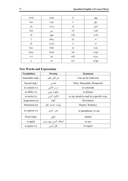| xviii        | هجده  | iv          | چهار   |
|--------------|-------|-------------|--------|
| ixx          | نوزده | V           | پنج    |
| XX           | بيست  | vi          | شش     |
| <b>XXX</b>   | سى    | vii         | هفت    |
| xl           | چهل   | viii        | هشت    |
|              | پنجاه | ix          | نه     |
| $\mathbf{I}$ | شصت   | $\mathbf X$ | ده     |
| lxx          | هفتاد | xi          | يازده  |
| <i>xxx</i>   | هشتاد | xii         | دوازده |
| x c          | نود   | xiii        | سيزده  |
| $\mathbf c$  | صد    | xiv         | چهارده |

### **New Words and Expressions**

| <b>Vocabulary</b> | <b>Meaning</b>          | Synonym                                |
|-------------------|-------------------------|----------------------------------------|
| Inimitable (adj.) | غير قابل تقليد          | Can not be followed                    |
| Sacred (adj.)     | مقدس                    | Holy, Honorable, Respected             |
| to contain $(v)$  | در بر داشتن             | to conclude                            |
| to differ $(v)$   | متفاوت بودن             | to distinct                            |
| to recite $(v)$   | تلاوت كردن              | to say aloud to read in a specific way |
| Inspiration (n)   | الهام                   | Revelation                             |
| Statement (n)     | روايت، حديث، نظر        | Report, Sentence                       |
| to express $(v)$  | بیان کردن               | to paraphrase, to say                  |
| Exact $(adj.)$    | دقيق                    | minute                                 |
| to apply          | استفاده كردن، بهره بردن | to use                                 |
| to quote $(v)$    | نقل کردن                | to report                              |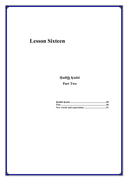## **Lesson Sixteen**

## Hadīth Ķudsī

## Part Two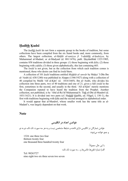#### **Hadīth Kudsī**

The *hadīth kudsī* do not form a separate group in the books of tradition, but some collections have been compiled from the six Sunnī books and, more commonly, from others. The largest collection, *al-Ithāfāt al-saniyya fi 'l-ahādīth al-kudsiyya*, by Muhammad al-Madanī, or al-Madyanī (d. 881/1476), publ. Haydarābād 1323/1905, contains 858 traditions divided in three groups: (1) those beginning with *kāla*; (2) those beginning with *yakūlu*; (3) those given alphabetically, this last containing 603.

The *īsnād* is not given, but as the collection from which each tradition comes is mentioned, those who desire can find its *īsnād* there.

A collection of 101 *kudsī* traditions entitled *Mishkāt al–anwār* by Muhyi 'l-Dīn Ibn al-'Arabi (d. 638/1240) was published in Aleppo (1346/1927) along with a collection of 40 compiled by Mullā 'Alī al-Kāri' (d. 1014/1605). Ibn al-'Arabi, who divides his collection into three parts, two of 40 traditions and one of 21, gives a full *isnād* in the first, sometimes in the second, and usually in the third. 'Alī al-Kāri' merely mentions the Companion reputed to have heard the tradition from the Prophet. Another collection, not published, is by 'Abd al-Ra'ūf Muhammad b. Tādj al-Dīn al-Munāwī (d. 1031/1621). It is divided into two parts (cf. Hadjdjī khalīfa, ed. Flügel, I, 150 f.), the first with traditions beginning with kāla and the second arranged in alphabetical order.

It would appear that al-Munāwī, whose smaller work has the same title as al-Madanī's, was largely dependent on that work.

#### **Note**

**خوאندن אعدאد در אنگلیسی**

خواندن شمارگان در انگلیسی دارای قاعده و ضابطۀ مشخصی نیست و به هر سه صورت تک تک، دو به دو

و جمع خوانده می شوند:

1324: one three two four thirteen twenty four one thousand three hundred twenty four

> با אین حال، معمولا:ً الف) شمارۀ تلفن ها، فکس ها و ... به صورت تک تک:

Tel: 98263727 nine eight two six three seven two seven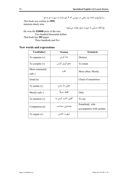ب) تواریخ و اعداد چند رقمی در صورتی که ۴ رقم باشند به صورت دو به دو:

This book was written in **1999**. nineteen ninety nine

ج) ارقام حسابی به صورت جمع خوانده میشوند:

He won the **\$20000** prize of the race. Two hundred thousands dollars That book has **305** pages. Three hundreds and five

#### **New words and expressions**

| <b>Vocabulary</b> | <b>Meaning</b>      | Synonym                  |
|-------------------|---------------------|--------------------------|
| To separate $(v)$ | جدا کردن            | Distinct                 |
| To compile $(v)$  | جمع آوري کردن       | To retain                |
| More commonly     | اغلب                | More often; Mostly       |
| (adv.)            |                     |                          |
| Isnad $(n)$       |                     | Chain of transmitors     |
| To entitle $(v)$  | عنوان دار شدن       |                          |
| Merely (adv.)     | فقط، صرفاً          | Only                     |
| To mention $(v)$  | گفتن، اشاره کردن به | To say                   |
| Companion (n)     | همنشین، مصاحب       | Somebody who             |
|                   |                     | accompanies with another |
| To repute $(v)$   | شهرت داشتن          |                          |